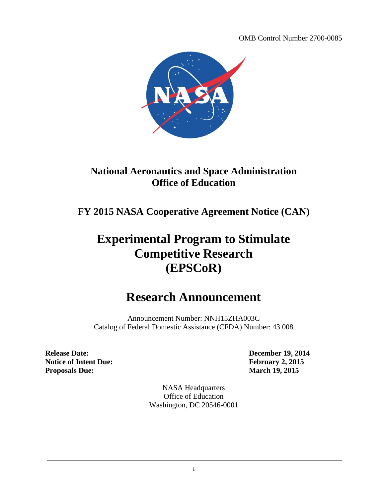OMB Control Number 2700-0085



## **National Aeronautics and Space Administration Office of Education**

**FY 2015 NASA Cooperative Agreement Notice (CAN)**

# **Experimental Program to Stimulate Competitive Research (EPSCoR)**

## **Research Announcement**

Announcement Number: NNH15ZHA003C Catalog of Federal Domestic Assistance (CFDA) Number: 43.008

**Release Date: December 19, 2014 Notice of Intent Due: February 2, 2015 Proposals Due: March 19, 2015**

NASA Headquarters Office of Education Washington, DC 20546-0001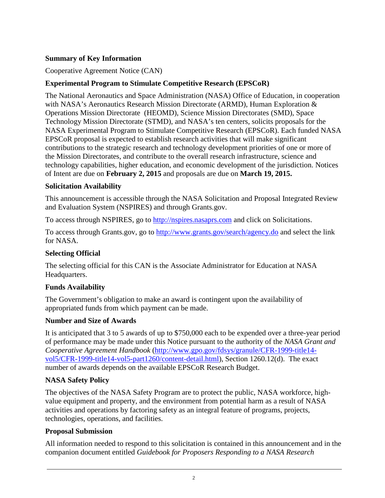### <span id="page-1-0"></span>**Summary of Key Information**

#### Cooperative Agreement Notice (CAN)

#### **Experimental Program to Stimulate Competitive Research (EPSCoR)**

The National Aeronautics and Space Administration (NASA) Office of Education, in cooperation with NASA's Aeronautics Research Mission Directorate (ARMD), Human Exploration & Operations Mission Directorate (HEOMD), Science Mission Directorates (SMD), Space Technology Mission Directorate (STMD), and NASA's ten centers, solicits proposals for the NASA Experimental Program to Stimulate Competitive Research (EPSCoR). Each funded NASA EPSCoR proposal is expected to establish research activities that will make significant contributions to the strategic research and technology development priorities of one or more of the Mission Directorates, and contribute to the overall research infrastructure, science and technology capabilities, higher education, and economic development of the jurisdiction. Notices of Intent are due on **February 2, 2015** and proposals are due on **March 19, 2015.**

#### **Solicitation Availability**

This announcement is accessible through the NASA Solicitation and Proposal Integrated Review and Evaluation System (NSPIRES) and through Grants.gov.

To access through NSPIRES, go to [http://nspires.nasaprs.com](http://nspires.nasaprs.com/) and click on Solicitations.

To access through Grants.gov, go to<http://www.grants.gov/search/agency.do> and select the link for NASA.

#### **Selecting Official**

The selecting official for this CAN is the Associate Administrator for Education at NASA Headquarters.

#### **Funds Availability**

The Government's obligation to make an award is contingent upon the availability of appropriated funds from which payment can be made.

#### **Number and Size of Awards**

It is anticipated that 3 to 5 awards of up to \$750,000 each to be expended over a three-year period of performance may be made under this Notice pursuant to the authority of the *NASA Grant and Cooperative Agreement Handbook* [\(http://www.gpo.gov/fdsys/granule/CFR-1999-title14](http://www.gpo.gov/fdsys/granule/CFR-1999-title14-vol5/CFR-1999-title14-vol5-part1260/content-detail.html) [vol5/CFR-1999-title14-vol5-part1260/content-detail.html\)](http://www.gpo.gov/fdsys/granule/CFR-1999-title14-vol5/CFR-1999-title14-vol5-part1260/content-detail.html), Section 1260.12(d). The exact number of awards depends on the available EPSCoR Research Budget.

#### **NASA Safety Policy**

The objectives of the NASA Safety Program are to protect the public, NASA workforce, highvalue equipment and property, and the environment from potential harm as a result of NASA activities and operations by factoring safety as an integral feature of programs, projects, technologies, operations, and facilities.

#### **Proposal Submission**

All information needed to respond to this solicitation is contained in this announcement and in the companion document entitled *Guidebook for Proposers Responding to a NASA Research*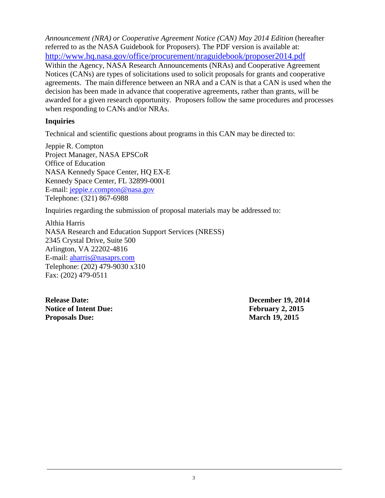*Announcement (NRA) or Cooperative Agreement Notice (CAN) May 2014 Edition* (hereafter referred to as the NASA Guidebook for Proposers). The PDF version is available at: <http://www.hq.nasa.gov/office/procurement/nraguidebook/proposer2014.pdf> Within the Agency, NASA Research Announcements (NRAs) and Cooperative Agreement Notices (CANs) are types of solicitations used to solicit proposals for grants and cooperative agreements. The main difference between an NRA and a CAN is that a CAN is used when the decision has been made in advance that cooperative agreements, rather than grants, will be awarded for a given research opportunity. Proposers follow the same procedures and processes when responding to CANs and/or NRAs.

#### **Inquiries**

Technical and scientific questions about programs in this CAN may be directed to:

Jeppie R. Compton Project Manager, NASA EPSCoR Office of Education NASA Kennedy Space Center, HQ EX-E Kennedy Space Center, FL 32899-0001 E-mail: [jeppie.r.compton@nasa.gov](mailto:Luis.C.Rabelo@nasa.gov) Telephone: (321) 867-6988

Inquiries regarding the submission of proposal materials may be addressed to:

Althia Harris NASA Research and Education Support Services (NRESS) 2345 Crystal Drive, Suite 500 Arlington, VA 22202-4816 E-mail: [aharris@nasaprs.com](mailto:aharris@nasaprs.com) Telephone: (202) 479-9030 x310 Fax: (202) 479-0511

**Release Date: December 19, 2014 Notice of Intent Due: February 2, 2015 Proposals Due: March 19, 2015**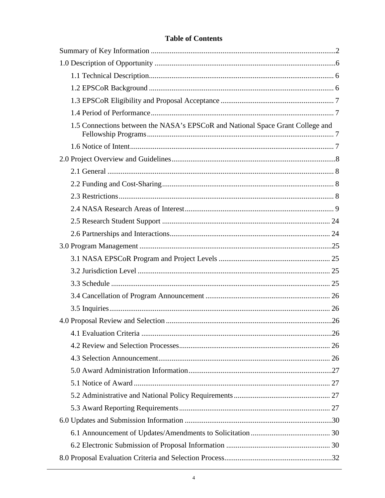### **Table of Contents**

| 1.5 Connections between the NASA's EPSCoR and National Space Grant College and |
|--------------------------------------------------------------------------------|
|                                                                                |
|                                                                                |
|                                                                                |
|                                                                                |
|                                                                                |
|                                                                                |
|                                                                                |
|                                                                                |
|                                                                                |
|                                                                                |
|                                                                                |
|                                                                                |
|                                                                                |
|                                                                                |
|                                                                                |
|                                                                                |
|                                                                                |
|                                                                                |
|                                                                                |
|                                                                                |
|                                                                                |
|                                                                                |
|                                                                                |
|                                                                                |
|                                                                                |
|                                                                                |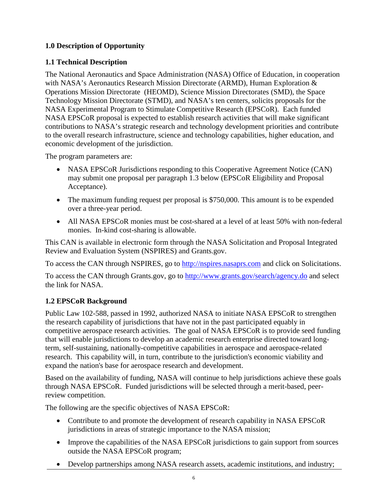## <span id="page-5-0"></span>**1.0 Description of Opportunity**

## <span id="page-5-1"></span>**1.1 Technical Description**

The National Aeronautics and Space Administration (NASA) Office of Education, in cooperation with NASA's Aeronautics Research Mission Directorate (ARMD), Human Exploration & Operations Mission Directorate (HEOMD), Science Mission Directorates (SMD), the Space Technology Mission Directorate (STMD), and NASA's ten centers, solicits proposals for the NASA Experimental Program to Stimulate Competitive Research (EPSCoR). Each funded NASA EPSCoR proposal is expected to establish research activities that will make significant contributions to NASA's strategic research and technology development priorities and contribute to the overall research infrastructure, science and technology capabilities, higher education, and economic development of the jurisdiction.

The program parameters are:

- NASA EPSCoR Jurisdictions responding to this Cooperative Agreement Notice (CAN) may submit one proposal per paragraph 1.3 below (EPSCoR Eligibility and Proposal Acceptance).
- The maximum funding request per proposal is \$750,000. This amount is to be expended over a three-year period.
- All NASA EPSCoR monies must be cost-shared at a level of at least 50% with non-federal monies. In-kind cost-sharing is allowable.

This CAN is available in electronic form through the NASA Solicitation and Proposal Integrated Review and Evaluation System (NSPIRES) and Grants.gov.

To access the CAN through NSPIRES, go to [http://nspires.nasaprs.com](http://nspires.nasaprs.com/) and click on Solicitations.

To access the CAN through Grants.gov, go to<http://www.grants.gov/search/agency.do> and select the link for NASA.

## <span id="page-5-2"></span>**1.2 EPSCoR Background**

Public Law 102-588, passed in 1992, authorized NASA to initiate NASA EPSCoR to strengthen the research capability of jurisdictions that have not in the past participated equably in competitive aerospace research activities. The goal of NASA EPSCoR is to provide seed funding that will enable jurisdictions to develop an academic research enterprise directed toward longterm, self-sustaining, nationally-competitive capabilities in aerospace and aerospace-related research. This capability will, in turn, contribute to the jurisdiction's economic viability and expand the nation's base for aerospace research and development.

Based on the availability of funding, NASA will continue to help jurisdictions achieve these goals through NASA EPSCoR. Funded jurisdictions will be selected through a merit-based, peerreview competition.

The following are the specific objectives of NASA EPSCoR:

- Contribute to and promote the development of research capability in NASA EPSCoR jurisdictions in areas of strategic importance to the NASA mission;
- Improve the capabilities of the NASA EPSCoR jurisdictions to gain support from sources outside the NASA EPSCoR program;
- Develop partnerships among NASA research assets, academic institutions, and industry;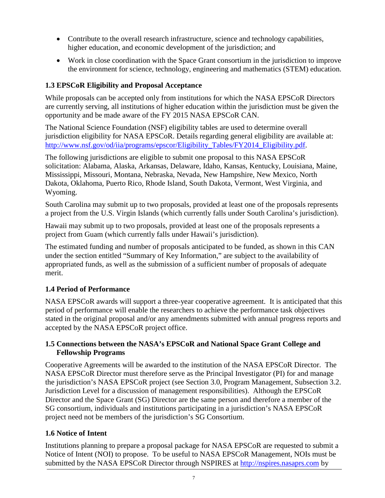- Contribute to the overall research infrastructure, science and technology capabilities, higher education, and economic development of the jurisdiction; and
- Work in close coordination with the Space Grant consortium in the jurisdiction to improve the environment for science, technology, engineering and mathematics (STEM) education.

## <span id="page-6-0"></span>**1.3 EPSCoR Eligibility and Proposal Acceptance**

While proposals can be accepted only from institutions for which the NASA EPSCoR Directors are currently serving, all institutions of higher education within the jurisdiction must be given the opportunity and be made aware of the FY 2015 NASA EPSCoR CAN.

The National Science Foundation (NSF) eligibility tables are used to determine overall jurisdiction eligibility for NASA EPSCoR. Details regarding general eligibility are available at: [http://www.nsf.gov/od/iia/programs/epscor/Eligibility\\_Tables/FY2014\\_Eligibility.pdf.](http://www.nsf.gov/od/iia/programs/epscor/Eligibility_Tables/FY2014_Eligibility.pdf)

The following jurisdictions are eligible to submit one proposal to this NASA EPSCoR solicitation: Alabama, Alaska, Arkansas, Delaware, Idaho, Kansas, Kentucky, Louisiana, Maine, Mississippi, Missouri, Montana, Nebraska, Nevada, New Hampshire, New Mexico, North Dakota, Oklahoma, Puerto Rico, Rhode Island, South Dakota, Vermont, West Virginia, and Wyoming.

South Carolina may submit up to two proposals, provided at least one of the proposals represents a project from the U.S. Virgin Islands (which currently falls under South Carolina's jurisdiction).

Hawaii may submit up to two proposals, provided at least one of the proposals represents a project from Guam (which currently falls under Hawaii's jurisdiction).

The estimated funding and number of proposals anticipated to be funded, as shown in this CAN under the section entitled "Summary of Key Information," are subject to the availability of appropriated funds, as well as the submission of a sufficient number of proposals of adequate merit.

## <span id="page-6-1"></span>**1.4 Period of Performance**

NASA EPSCoR awards will support a three-year cooperative agreement. It is anticipated that this period of performance will enable the researchers to achieve the performance task objectives stated in the original proposal and/or any amendments submitted with annual progress reports and accepted by the NASA EPSCoR project office.

#### <span id="page-6-2"></span>**1.5 Connections between the NASA's EPSCoR and National Space Grant College and Fellowship Programs**

Cooperative Agreements will be awarded to the institution of the NASA EPSCoR Director. The NASA EPSCoR Director must therefore serve as the Principal Investigator (PI) for and manage the jurisdiction's NASA EPSCoR project (see Section 3.0, Program Management, Subsection 3.2. Jurisdiction Level for a discussion of management responsibilities). Although the EPSCoR Director and the Space Grant (SG) Director are the same person and therefore a member of the SG consortium, individuals and institutions participating in a jurisdiction's NASA EPSCoR project need not be members of the jurisdiction's SG Consortium.

## <span id="page-6-3"></span>**1.6 Notice of Intent**

Institutions planning to prepare a proposal package for NASA EPSCoR are requested to submit a Notice of Intent (NOI) to propose. To be useful to NASA EPSCoR Management, NOIs must be submitted by the NASA EPSCoR Director through NSPIRES at [http://nspires.nasaprs.com](http://nspires.nasaprs.com/) by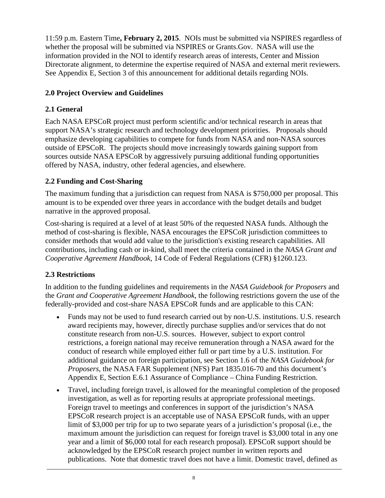11:59 p.m. Eastern Time**, February 2, 2015**. NOIs must be submitted via NSPIRES regardless of whether the proposal will be submitted via NSPIRES or Grants.Gov. NASA will use the information provided in the NOI to identify research areas of interests, Center and Mission Directorate alignment, to determine the expertise required of NASA and external merit reviewers. See Appendix E, Section 3 of this announcement for additional details regarding NOIs.

## <span id="page-7-0"></span>**2.0 Project Overview and Guidelines**

## <span id="page-7-1"></span>**2.1 General**

Each NASA EPSCoR project must perform scientific and/or technical research in areas that support NASA's strategic research and technology development priorities. Proposals should emphasize developing capabilities to compete for funds from NASA and non-NASA sources outside of EPSCoR. The projects should move increasingly towards gaining support from sources outside NASA EPSCoR by aggressively pursuing additional funding opportunities offered by NASA, industry, other federal agencies, and elsewhere.

## <span id="page-7-2"></span>**2.2 Funding and Cost-Sharing**

The maximum funding that a jurisdiction can request from NASA is \$750,000 per proposal. This amount is to be expended over three years in accordance with the budget details and budget narrative in the approved proposal.

Cost-sharing is required at a level of at least 50% of the requested NASA funds. Although the method of cost-sharing is flexible, NASA encourages the EPSCoR jurisdiction committees to consider methods that would add value to the jurisdiction's existing research capabilities. All contributions, including cash or in-kind, shall meet the criteria contained in the *NASA Grant and Cooperative Agreement Handbook*, 14 Code of Federal Regulations (CFR) §1260.123.

## <span id="page-7-3"></span>**2.3 Restrictions**

In addition to the funding guidelines and requirements in the *NASA Guidebook for Proposers* and the *Grant and Cooperative Agreement Handbook*, the following restrictions govern the use of the federally-provided and cost-share NASA EPSCoR funds and are applicable to this CAN:

- Funds may not be used to fund research carried out by non-U.S. institutions. U.S. research award recipients may, however, directly purchase supplies and/or services that do not constitute research from non-U.S. sources. However, subject to export control restrictions, a foreign national may receive remuneration through a NASA award for the conduct of research while employed either full or part time by a U.S. institution. For additional guidance on foreign participation, see Section 1.6 of the *NASA Guidebook for Proposers*, the NASA FAR Supplement (NFS) Part 1835.016-70 and this document's Appendix E, Section E.6.1 Assurance of Compliance – China Funding Restriction.
- Travel, including foreign travel, is allowed for the meaningful completion of the proposed investigation, as well as for reporting results at appropriate professional meetings. Foreign travel to meetings and conferences in support of the jurisdiction's NASA EPSCoR research project is an acceptable use of NASA EPSCoR funds, with an upper limit of \$3,000 per trip for up to two separate years of a jurisdiction's proposal (i.e., the maximum amount the jurisdiction can request for foreign travel is \$3,000 total in any one year and a limit of \$6,000 total for each research proposal). EPSCoR support should be acknowledged by the EPSCoR research project number in written reports and publications. Note that domestic travel does not have a limit. Domestic travel, defined as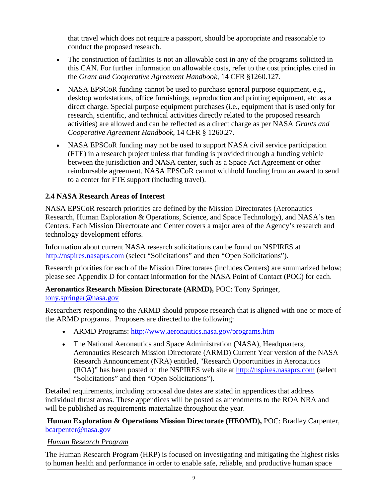that travel which does not require a passport, should be appropriate and reasonable to conduct the proposed research.

- The construction of facilities is not an allowable cost in any of the programs solicited in this CAN. For further information on allowable costs, refer to the cost principles cited in the *Grant and Cooperative Agreement Handbook*, 14 CFR §1260.127.
- NASA EPSCoR funding cannot be used to purchase general purpose equipment, e.g., desktop workstations, office furnishings, reproduction and printing equipment, etc. as a direct charge. Special purpose equipment purchases (i.e., equipment that is used only for research, scientific, and technical activities directly related to the proposed research activities) are allowed and can be reflected as a direct charge as per NASA *Grants and Cooperative Agreement Handbook*, 14 CFR § 1260.27.
- NASA EPSCoR funding may not be used to support NASA civil service participation (FTE) in a research project unless that funding is provided through a funding vehicle between the jurisdiction and NASA center, such as a Space Act Agreement or other reimbursable agreement. NASA EPSCoR cannot withhold funding from an award to send to a center for FTE support (including travel).

## <span id="page-8-0"></span>**2.4 NASA Research Areas of Interest**

NASA EPSCoR research priorities are defined by the Mission Directorates (Aeronautics Research, Human Exploration & Operations, Science, and Space Technology), and NASA's ten Centers. Each Mission Directorate and Center covers a major area of the Agency's research and technology development efforts.

Information about current NASA research solicitations can be found on NSPIRES at [http://nspires.nasaprs.com](http://nspires.nasaprs.com/) (select "Solicitations" and then "Open Solicitations").

Research priorities for each of the Mission Directorates (includes Centers) are summarized below; please see Appendix D for contact information for the NASA Point of Contact (POC) for each.

## **Aeronautics Research Mission Directorate (ARMD),** POC: Tony Springer,

## [tony.springer@nasa.gov](mailto:tony.springer@nasa.gov)

Researchers responding to the ARMD should propose research that is aligned with one or more of the ARMD programs. Proposers are directed to the following:

- ARMD Programs:<http://www.aeronautics.nasa.gov/programs.htm>
- The National Aeronautics and Space Administration (NASA), Headquarters, Aeronautics Research Mission Directorate (ARMD) Current Year version of the NASA Research Announcement (NRA) entitled, "Research Opportunities in Aeronautics (ROA)" has been posted on the NSPIRES web site at [http://nspires.nasaprs.com](http://nspires.nasaprs.com/) (select "Solicitations" and then "Open Solicitations").

Detailed requirements, including proposal due dates are stated in appendices that address individual thrust areas. These appendices will be posted as amendments to the ROA NRA and will be published as requirements materialize throughout the year.

**Human Exploration & Operations Mission Directorate (HEOMD),** POC: Bradley Carpenter, [bcarpenter@nasa.gov](mailto:bcarpenter@nasa.gov)

## *Human Research Program*

The Human Research Program (HRP) is focused on investigating and mitigating the highest risks to human health and performance in order to enable safe, reliable, and productive human space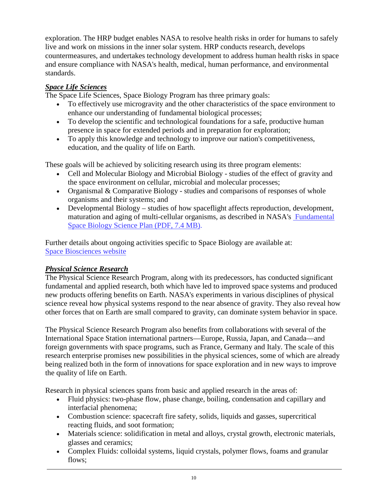exploration. The HRP budget enables NASA to resolve health risks in order for humans to safely live and work on missions in the inner solar system. HRP conducts research, develops countermeasures, and undertakes technology development to address human health risks in space and ensure compliance with NASA's health, medical, human performance, and environmental standards.

## *Space Life Sciences*

The Space Life Sciences, Space Biology Program has three primary goals:

- To effectively use microgravity and the other characteristics of the space environment to enhance our understanding of fundamental biological processes;
- To develop the scientific and technological foundations for a safe, productive human presence in space for extended periods and in preparation for exploration;
- To apply this knowledge and technology to improve our nation's competitiveness, education, and the quality of life on Earth.

These goals will be achieved by soliciting research using its three program elements:

- Cell and Molecular Biology and Microbial Biology studies of the effect of gravity and the space environment on cellular, microbial and molecular processes;
- Organismal & Comparative Biology studies and comparisons of responses of whole organisms and their systems; and
- Developmental Biology studies of how spaceflight affects reproduction, development, maturation and aging of multi-cellular organisms, as described in NASA's [Fundamental](http://www.nasa.gov/pdf/541222main_10-05-17%20FSB%20Sci%20Plan-Signed_508.pdf)  [Space Biology Science Plan \(PDF, 7.4 MB\).](http://www.nasa.gov/pdf/541222main_10-05-17%20FSB%20Sci%20Plan-Signed_508.pdf)

Further details about ongoing activities specific to Space Biology are available at: [Space Biosciences website](http://spacebiosciences.arc.nasa.gov/)

## *Physical Science Research*

The Physical Science Research Program, along with its predecessors, has conducted significant fundamental and applied research, both which have led to improved space systems and produced new products offering benefits on Earth. NASA's experiments in various disciplines of physical science reveal how physical systems respond to the near absence of gravity. They also reveal how other forces that on Earth are small compared to gravity, can dominate system behavior in space.

The Physical Science Research Program also benefits from collaborations with several of the International Space Station international partners—Europe, Russia, Japan, and Canada—and foreign governments with space programs, such as France, Germany and Italy. The scale of this research enterprise promises new possibilities in the physical sciences, some of which are already being realized both in the form of innovations for space exploration and in new ways to improve the quality of life on Earth.

Research in physical sciences spans from basic and applied research in the areas of:

- Fluid physics: two-phase flow, phase change, boiling, condensation and capillary and interfacial phenomena;
- Combustion science: spacecraft fire safety, solids, liquids and gasses, supercritical reacting fluids, and soot formation;
- Materials science: solidification in metal and alloys, crystal growth, electronic materials, glasses and ceramics;
- Complex Fluids: colloidal systems, liquid crystals, polymer flows, foams and granular flows;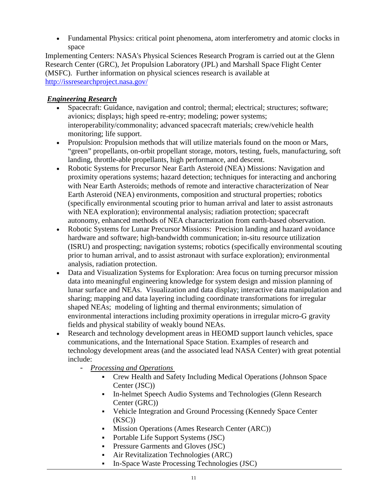• Fundamental Physics: critical point phenomena, atom interferometry and atomic clocks in space

Implementing Centers: NASA's Physical Sciences Research Program is carried out at the Glenn Research Center (GRC), Jet Propulsion Laboratory (JPL) and Marshall Space Flight Center (MSFC). Further information on physical sciences research is available at <http://issresearchproject.nasa.gov/>

## *Engineering Research*

- Spacecraft: Guidance, navigation and control; thermal; electrical; structures; software; avionics; displays; high speed re-entry; modeling; power systems; interoperability/commonality; advanced spacecraft materials; crew/vehicle health monitoring; life support.
- Propulsion: Propulsion methods that will utilize materials found on the moon or Mars, "green" propellants, on-orbit propellant storage, motors, testing, fuels, manufacturing, soft landing, throttle-able propellants, high performance, and descent.
- Robotic Systems for Precursor Near Earth Asteroid (NEA) Missions: Navigation and proximity operations systems; hazard detection; techniques for interacting and anchoring with Near Earth Asteroids; methods of remote and interactive characterization of Near Earth Asteroid (NEA) environments, composition and structural properties; robotics (specifically environmental scouting prior to human arrival and later to assist astronauts with NEA exploration); environmental analysis; radiation protection; spacecraft autonomy, enhanced methods of NEA characterization from earth-based observation.
- Robotic Systems for Lunar Precursor Missions: Precision landing and hazard avoidance hardware and software; high-bandwidth communication; in-situ resource utilization (ISRU) and prospecting; navigation systems; robotics (specifically environmental scouting prior to human arrival, and to assist astronaut with surface exploration); environmental analysis, radiation protection.
- Data and Visualization Systems for Exploration: Area focus on turning precursor mission data into meaningful engineering knowledge for system design and mission planning of lunar surface and NEAs. Visualization and data display; interactive data manipulation and sharing; mapping and data layering including coordinate transformations for irregular shaped NEAs; modeling of lighting and thermal environments; simulation of environmental interactions including proximity operations in irregular micro-G gravity fields and physical stability of weakly bound NEAs.
- Research and technology development areas in HEOMD support launch vehicles, space communications, and the International Space Station. Examples of research and technology development areas (and the associated lead NASA Center) with great potential include:
	- *Processing and Operations*
		- Crew Health and Safety Including Medical Operations (Johnson Space Center (JSC))
		- In-helmet Speech Audio Systems and Technologies (Glenn Research Center (GRC))
		- Vehicle Integration and Ground Processing (Kennedy Space Center (KSC))
		- Mission Operations (Ames Research Center (ARC))
		- Portable Life Support Systems (JSC)
		- **Pressure Garments and Gloves (JSC)**
		- Air Revitalization Technologies (ARC)
		- In-Space Waste Processing Technologies (JSC)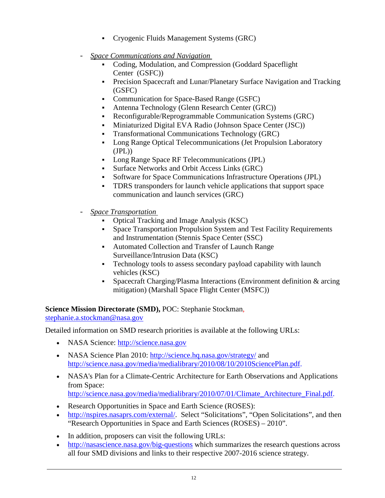- Cryogenic Fluids Management Systems (GRC)
- *Space Communications and Navigation*
	- Coding, Modulation, and Compression (Goddard Spaceflight Center (GSFC))
	- Precision Spacecraft and Lunar/Planetary Surface Navigation and Tracking (GSFC)
	- Communication for Space-Based Range (GSFC)
	- Antenna Technology (Glenn Research Center (GRC))
	- Reconfigurable/Reprogrammable Communication Systems (GRC)
	- Miniaturized Digital EVA Radio (Johnson Space Center (JSC))
	- Transformational Communications Technology (GRC)
	- Long Range Optical Telecommunications (Jet Propulsion Laboratory  $(JPL)$
	- Long Range Space RF Telecommunications (JPL)
	- Surface Networks and Orbit Access Links (GRC)
	- Software for Space Communications Infrastructure Operations (JPL)
	- TDRS transponders for launch vehicle applications that support space communication and launch services (GRC)
- *Space Transportation*
	- Optical Tracking and Image Analysis (KSC)
	- Space Transportation Propulsion System and Test Facility Requirements and Instrumentation (Stennis Space Center (SSC)
	- Automated Collection and Transfer of Launch Range Surveillance/Intrusion Data (KSC)
	- Technology tools to assess secondary payload capability with launch vehicles (KSC)
	- Spacecraft Charging/Plasma Interactions (Environment definition & arcing mitigation) (Marshall Space Flight Center (MSFC))

**Science Mission Directorate (SMD),** POC: Stephanie Stockman, [stephanie.a.stockman@nasa.gov](mailto:stephanie.a.stockman@nasa.gov)

Detailed information on SMD research priorities is available at the following URLs:

- NASA Science: [http://science.nasa.gov](http://science.nasa.gov/)
- NASA Science Plan 2010:<http://science.hq.nasa.gov/strategy/> and [http://science.nasa.gov/media/medialibrary/2010/08/10/2010SciencePlan.pdf.](http://science.nasa.gov/media/medialibrary/2010/08/10/2010SciencePlan.pdf)
- NASA's Plan for a Climate-Centric Architecture for Earth Observations and Applications from Space: [http://science.nasa.gov/media/medialibrary/2010/07/01/Climate\\_Architecture\\_Final.pdf.](http://science.nasa.gov/media/medialibrary/2010/07/01/Climate_Architecture_Final.pdf)
- Research Opportunities in Space and Earth Science (ROSES):
- [http://nspires.nasaprs.com/external/.](http://nspires.nasaprs.com/external/) Select "Solicitations", "Open Solicitations", and then "Research Opportunities in Space and Earth Sciences (ROSES) – 2010".
- In addition, proposers can visit the following URLs:
- <http://nasascience.nasa.gov/big-questions> which summarizes the research questions across all four SMD divisions and links to their respective 2007-2016 science strategy.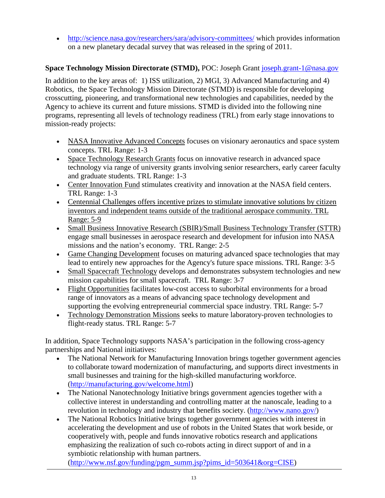• <http://science.nasa.gov/researchers/sara/advisory-committees/> which provides information on a new planetary decadal survey that was released in the spring of 2011.

## **Space Technology Mission Directorate (STMD),** POC: Joseph Grant [joseph.grant-1@nasa.gov](mailto:joseph.grant-1@nasa.gov)

In addition to the key areas of: 1) ISS utilization, 2) MGI, 3) Advanced Manufacturing and 4) Robotics, the Space Technology Mission Directorate (STMD) is responsible for developing crosscutting, pioneering, and transformational new technologies and capabilities, needed by the Agency to achieve its current and future missions. STMD is divided into the following nine programs, representing all levels of technology readiness (TRL) from early stage innovations to mission-ready projects:

- NASA Innovative Advanced Concepts focuses on visionary aeronautics and space system concepts. TRL Range: 1-3
- Space Technology Research Grants focus on innovative research in advanced space technology via range of university grants involving senior researchers, early career faculty and graduate students. TRL Range: 1-3
- Center Innovation Fund stimulates creativity and innovation at the NASA field centers. TRL Range: 1-3
- Centennial Challenges offers incentive prizes to stimulate innovative solutions by citizen inventors and independent teams outside of the traditional aerospace community. TRL Range: 5-9
- Small Business Innovative Research (SBIR)/Small Business Technology Transfer (STTR) engage small businesses in aerospace research and development for infusion into NASA missions and the nation's economy. TRL Range: 2-5
- Game Changing Development focuses on maturing advanced space technologies that may lead to entirely new approaches for the Agency's future space missions. TRL Range: 3-5
- Small Spacecraft Technology develops and demonstrates subsystem technologies and new mission capabilities for small spacecraft. TRL Range: 3-7
- Flight Opportunities facilitates low-cost access to suborbital environments for a broad range of innovators as a means of advancing space technology development and supporting the evolving entrepreneurial commercial space industry. TRL Range: 5-7
- Technology Demonstration Missions seeks to mature laboratory-proven technologies to flight-ready status. TRL Range: 5-7

In addition, Space Technology supports NASA's participation in the following cross-agency partnerships and National initiatives:

- The National Network for Manufacturing Innovation brings together government agencies to collaborate toward modernization of manufacturing, and supports direct investments in small businesses and training for the high-skilled manufacturing workforce. (http://manufacturing.gov/welcome.html)
- The National Nanotechnology Initiative brings government agencies together with a collective interest in understanding and controlling matter at the nanoscale, leading to a revolution in technology and industry that benefits society. (http://www.nano.gov/)
- The National Robotics Initiative brings together government agencies with interest in accelerating the development and use of robots in the United States that work beside, or cooperatively with, people and funds innovative robotics research and applications emphasizing the realization of such co-robots acting in direct support of and in a symbiotic relationship with human partners.

[\(http://www.nsf.gov/funding/pgm\\_summ.jsp?pims\\_id=503641&org=CISE\)](http://www.nsf.gov/funding/pgm_summ.jsp?pims_id=503641&org=CISE)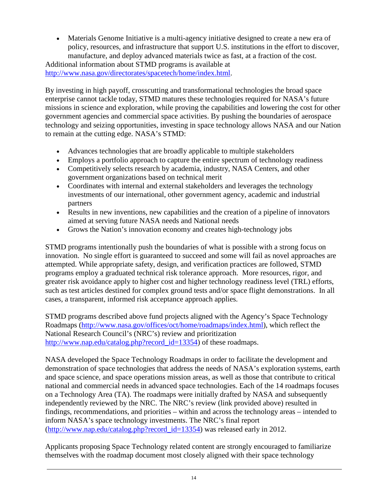• Materials Genome Initiative is a multi-agency initiative designed to create a new era of policy, resources, and infrastructure that support U.S. institutions in the effort to discover, manufacture, and deploy advanced materials twice as fast, at a fraction of the cost. Additional information about STMD programs is available at [http://www.nasa.gov/directorates/spacetech/home/index.html.](http://www.nasa.gov/directorates/spacetech/home/index.html)

By investing in high payoff, crosscutting and transformational technologies the broad space enterprise cannot tackle today, STMD matures these technologies required for NASA's future missions in science and exploration, while proving the capabilities and lowering the cost for other government agencies and commercial space activities. By pushing the boundaries of aerospace technology and seizing opportunities, investing in space technology allows NASA and our Nation to remain at the cutting edge. NASA's STMD:

- Advances technologies that are broadly applicable to multiple stakeholders
- Employs a portfolio approach to capture the entire spectrum of technology readiness
- Competitively selects research by academia, industry, NASA Centers, and other government organizations based on technical merit
- Coordinates with internal and external stakeholders and leverages the technology investments of our international, other government agency, academic and industrial partners
- Results in new inventions, new capabilities and the creation of a pipeline of innovators aimed at serving future NASA needs and National needs
- Grows the Nation's innovation economy and creates high-technology jobs

STMD programs intentionally push the boundaries of what is possible with a strong focus on innovation. No single effort is guaranteed to succeed and some will fail as novel approaches are attempted. While appropriate safety, design, and verification practices are followed, STMD programs employ a graduated technical risk tolerance approach. More resources, rigor, and greater risk avoidance apply to higher cost and higher technology readiness level (TRL) efforts, such as test articles destined for complex ground tests and/or space flight demonstrations. In all cases, a transparent, informed risk acceptance approach applies.

STMD programs described above fund projects aligned with the Agency's Space Technology Roadmaps [\(http://www.nasa.gov/offices/oct/home/roadmaps/index.html\)](http://www.nasa.gov/offices/oct/home/roadmaps/index.html), which reflect the National Research Council's (NRC's) review and prioritization [http://www.nap.edu/catalog.php?record\\_id=13354\)](http://www.nap.edu/catalog.php?record_id=13354) of these roadmaps.

NASA developed the Space Technology Roadmaps in order to facilitate the development and demonstration of space technologies that address the needs of NASA's exploration systems, earth and space science, and space operations mission areas, as well as those that contribute to critical national and commercial needs in advanced space technologies. Each of the 14 roadmaps focuses on a Technology Area (TA). The roadmaps were initially drafted by NASA and subsequently independently reviewed by the NRC. The NRC's review (link provided above) resulted in findings, recommendations, and priorities – within and across the technology areas – intended to inform NASA's space technology investments. The NRC's final report [\(http://www.nap.edu/catalog.php?record\\_id=13354\)](http://www.nap.edu/catalog.php?record_id=13354) was released early in 2012.

Applicants proposing Space Technology related content are strongly encouraged to familiarize themselves with the roadmap document most closely aligned with their space technology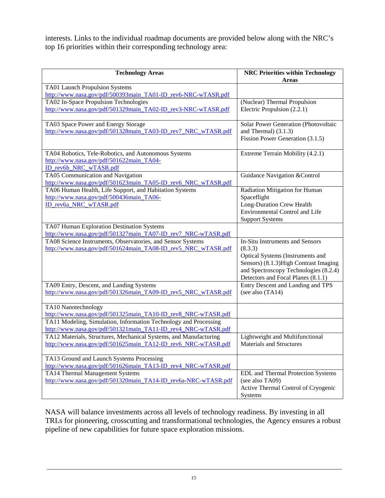interests. Links to the individual roadmap documents are provided below along with the NRC's top 16 priorities within their corresponding technology area:

| <b>Technology Areas</b>                                                                                                            | <b>NRC Priorities within Technology</b><br><b>Areas</b>                                                                                                                                                 |
|------------------------------------------------------------------------------------------------------------------------------------|---------------------------------------------------------------------------------------------------------------------------------------------------------------------------------------------------------|
| TA01 Launch Propulsion Systems<br>http://www.nasa.gov/pdf/500393main TA01-ID rev6-NRC-wTASR.pdf                                    |                                                                                                                                                                                                         |
| TA02 In-Space Propulsion Technologies<br>http://www.nasa.gov/pdf/501329main TA02-ID rev3-NRC-wTASR.pdf                             | (Nuclear) Thermal Propulsion<br>Electric Propulsion (2.2.1)                                                                                                                                             |
| TA03 Space Power and Energy Storage<br>http://www.nasa.gov/pdf/501328main TA03-ID rev7 NRC wTASR.pdf                               | Solar Power Generation (Photovoltaic<br>and Thermal $(3.1.3)$<br>Fission Power Generation (3.1.5)                                                                                                       |
| TA04 Robotics, Tele-Robotics, and Autonomous Systems<br>http://www.nasa.gov/pdf/501622main TA04-<br>ID rev6b NRC wTASR.pdf         | Extreme Terrain Mobility (4.2.1)                                                                                                                                                                        |
| TA05 Communication and Navigation<br>http://www.nasa.gov/pdf/501623main_TA05-ID_rev6_NRC_wTASR.pdf                                 | Guidance Navigation & Control                                                                                                                                                                           |
| TA06 Human Health, Life Support, and Habitation Systems<br>http://www.nasa.gov/pdf/500436main TA06-<br>ID_rev6a_NRC_wTASR.pdf      | Radiation Mitigation for Human<br>Spaceflight<br>Long-Duration Crew Health<br><b>Environmental Control and Life</b><br><b>Support Systems</b>                                                           |
| TA07 Human Exploration Destination Systems<br>http://www.nasa.gov/pdf/501327main_TA07-ID_rev7_NRC-wTASR.pdf                        |                                                                                                                                                                                                         |
| TA08 Science Instruments, Observatories, and Sensor Systems<br>http://www.nasa.gov/pdf/501624main_TA08-ID_rev5_NRC_wTASR.pdf       | In-Situ Instruments and Sensors<br>(8.3.3)<br>Optical Systems (Instruments and<br>Sensors) (8.1.3) High Contrast Imaging<br>and Spectroscopy Technologies (8.2.4)<br>Detectors and Focal Planes (8.1.1) |
| TA09 Entry, Descent, and Landing Systems<br>http://www.nasa.gov/pdf/501326main_TA09-ID_rev5_NRC_wTASR.pdf                          | Entry Descent and Landing and TPS<br>(see also (TA14)                                                                                                                                                   |
| TA10 Nanotechnology<br>http://www.nasa.gov/pdf/501325main TA10-ID rev8 NRC-wTASR.pdf                                               |                                                                                                                                                                                                         |
| TA11 Modeling, Simulation, Information Technology and Processing<br>http://www.nasa.gov/pdf/501321main_TA11-ID_rev4_NRC-wTASR.pdf  |                                                                                                                                                                                                         |
| TA12 Materials, Structures, Mechanical Systems, and Manufacturing<br>http://www.nasa.gov/pdf/501625main_TA12-ID_rev6_NRC-wTASR.pdf | Lightweight and Multifunctional<br><b>Materials and Structures</b>                                                                                                                                      |
| TA13 Ground and Launch Systems Processing<br>http://www.nasa.gov/pdf/501626main_TA13-ID_rev4_NRC-wTASR.pdf                         |                                                                                                                                                                                                         |
| TA14 Thermal Management Systems<br>http://www.nasa.gov/pdf/501320main_TA14-ID_rev6a-NRC-wTASR.pdf                                  | <b>EDL</b> and Thermal Protection Systems<br>(see also TA09)<br>Active Thermal Control of Cryogenic<br>Systems                                                                                          |

NASA will balance investments across all levels of technology readiness. By investing in all TRLs for pioneering, crosscutting and transformational technologies, the Agency ensures a robust pipeline of new capabilities for future space exploration missions.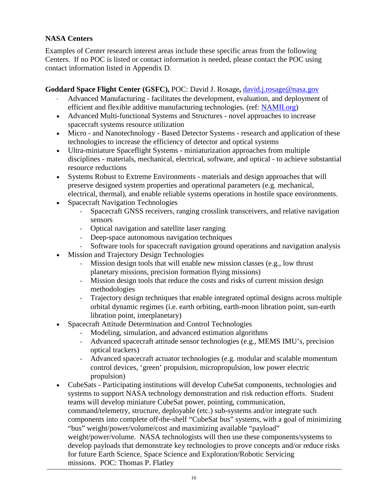### **NASA Centers**

Examples of Center research interest areas include these specific areas from the following Centers. If no POC is listed or contact information is needed, please contact the POC using contact information listed in Appendix D.

#### **Goddard Space Flight Center (GSFC),** POC: David J. Rosage**,** [david.j.rosage@nasa.gov](mailto:david.j.rosage@nasa.gov)

- Advanced Manufacturing facilitates the development, evaluation, and deployment of efficient and flexible additive manufacturing technologies. (ref: [NAMII.org\)](http://namii.org/)
- Advanced Multi-functional Systems and Structures novel approaches to increase spacecraft systems resource utilization
- Micro and Nanotechnology Based Detector Systems research and application of these technologies to increase the efficiency of detector and optical systems
- Ultra-miniature Spaceflight Systems miniaturization approaches from multiple disciplines - materials, mechanical, electrical, software, and optical - to achieve substantial resource reductions
- Systems Robust to Extreme Environments materials and design approaches that will preserve designed system properties and operational parameters (e.g. mechanical, electrical, thermal), and enable reliable systems operations in hostile space environments.
- Spacecraft Navigation Technologies
	- Spacecraft GNSS receivers, ranging crosslink transceivers, and relative navigation sensors
	- Optical navigation and satellite laser ranging
	- Deep-space autonomous navigation techniques
	- Software tools for spacecraft navigation ground operations and navigation analysis
- Mission and Trajectory Design Technologies
	- Mission design tools that will enable new mission classes (e.g., low thrust planetary missions, precision formation flying missions)
	- Mission design tools that reduce the costs and risks of current mission design methodologies
	- Trajectory design techniques that enable integrated optimal designs across multiple orbital dynamic regimes (i.e. earth orbiting, earth-moon libration point, sun-earth libration point, interplanetary)
- Spacecraft Attitude Determination and Control Technologies
	- Modeling, simulation, and advanced estimation algorithms
	- Advanced spacecraft attitude sensor technologies (e.g., MEMS IMU's, precision optical trackers)
	- Advanced spacecraft actuator technologies (e.g. modular and scalable momentum control devices, 'green' propulsion, micropropulsion, low power electric propulsion)
- CubeSats Participating institutions will develop CubeSat components, technologies and systems to support NASA technology demonstration and risk reduction efforts. Student teams will develop miniature CubeSat power, pointing, communication, command/telemetry, structure, deployable (etc.) sub-systems and/or integrate such components into complete off-the-shelf "CubeSat bus" systems, with a goal of minimizing "bus" weight/power/volume/cost and maximizing available "payload" weight/power/volume. NASA technologists will then use these components/systems to develop payloads that demonstrate key technologies to prove concepts and/or reduce risks for future Earth Science, Space Science and Exploration/Robotic Servicing missions. POC: Thomas P. Flatley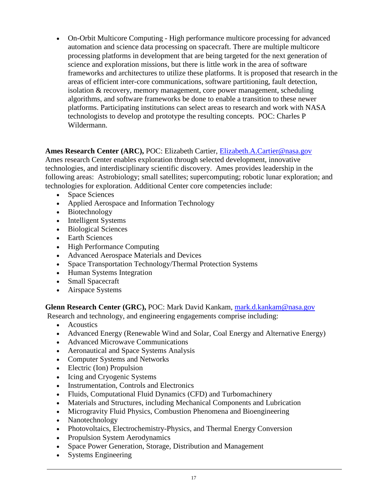• On-Orbit Multicore Computing - High performance multicore processing for advanced automation and science data processing on spacecraft. There are multiple multicore processing platforms in development that are being targeted for the next generation of science and exploration missions, but there is little work in the area of software frameworks and architectures to utilize these platforms. It is proposed that research in the areas of efficient inter-core communications, software partitioning, fault detection, isolation & recovery, memory management, core power management, scheduling algorithms, and software frameworks be done to enable a transition to these newer platforms. Participating institutions can select areas to research and work with NASA technologists to develop and prototype the resulting concepts. POC: Charles P Wildermann.

#### **Ames Research Center (ARC),** POC: Elizabeth Cartier, [Elizabeth.A.Cartier@nasa.gov](mailto:Elizabeth.A.Cartier@nasa.gov)

Ames research Center enables exploration through selected development, innovative technologies, and interdisciplinary scientific discovery. Ames provides leadership in the following areas: Astrobiology; small satellites; supercomputing; robotic lunar exploration; and technologies for exploration. Additional Center core competencies include:

- Space Sciences
- Applied Aerospace and Information Technology
- Biotechnology
- Intelligent Systems
- Biological Sciences
- Earth Sciences
- High Performance Computing
- Advanced Aerospace Materials and Devices
- Space Transportation Technology/Thermal Protection Systems
- Human Systems Integration
- Small Spacecraft
- Airspace Systems

**Glenn Research Center (GRC),** POC: Mark David Kankam, [mark.d.kankam@nasa.gov](mailto:mark.d.kankam@nasa.gov)

Research and technology, and engineering engagements comprise including:

- Acoustics
- Advanced Energy (Renewable Wind and Solar, Coal Energy and Alternative Energy)
- Advanced Microwave Communications
- Aeronautical and Space Systems Analysis
- Computer Systems and Networks
- Electric (Ion) Propulsion
- Icing and Cryogenic Systems
- Instrumentation, Controls and Electronics
- Fluids, Computational Fluid Dynamics (CFD) and Turbomachinery
- Materials and Structures, including Mechanical Components and Lubrication
- Microgravity Fluid Physics, Combustion Phenomena and Bioengineering
- Nanotechnology
- Photovoltaics, Electrochemistry-Physics, and Thermal Energy Conversion
- Propulsion System Aerodynamics
- Space Power Generation, Storage, Distribution and Management
- Systems Engineering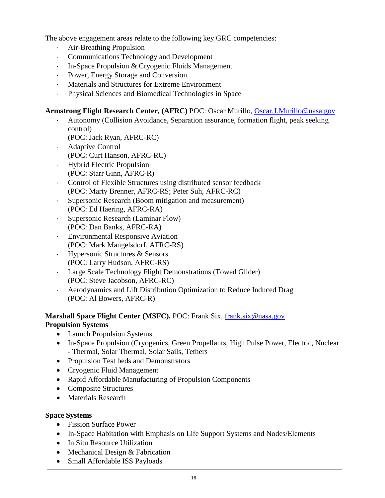The above engagement areas relate to the following key GRC competencies:

- ⋅ Air-Breathing Propulsion
- ⋅ Communications Technology and Development
- In-Space Propulsion & Cryogenic Fluids Management
- Power, Energy Storage and Conversion
- ⋅ Materials and Structures for Extreme Environment
- ⋅ Physical Sciences and Biomedical Technologies in Space

#### **Armstrong Flight Research Center, (AFRC)** POC: Oscar Murillo, [Oscar.J.Murillo@nasa.gov](mailto:Oscar.J.Murillo@nasa.gov)

- Autonomy (Collision Avoidance, Separation assurance, formation flight, peak seeking control)
	- (POC: Jack Ryan, AFRC-RC)
- ⋅ Adaptive Control
- (POC: Curt Hanson, AFRC-RC)
- ⋅ Hybrid Electric Propulsion (POC: Starr Ginn, AFRC-R)
- Control of Flexible Structures using distributed sensor feedback (POC: Marty Brenner, AFRC-RS; Peter Suh, AFRC-RC)
- ⋅ Supersonic Research (Boom mitigation and measurement) (POC: Ed Haering, AFRC-RA)
- ⋅ Supersonic Research (Laminar Flow) (POC: Dan Banks, AFRC-RA)
- ⋅ Environmental Responsive Aviation (POC: Mark Mangelsdorf, AFRC-RS)
- ⋅ Hypersonic Structures & Sensors (POC: Larry Hudson, AFRC-RS)
- Large Scale Technology Flight Demonstrations (Towed Glider) (POC: Steve Jacobson, AFRC-RC)
- ⋅ Aerodynamics and Lift Distribution Optimization to Reduce Induced Drag (POC: Al Bowers, AFRC-R)

#### **Marshall Space Flight Center (MSFC),** POC: Frank Six, [frank.six@nasa.gov](mailto:frank.six@nasa.gov) **Propulsion Systems**

- Launch Propulsion Systems
- In-Space Propulsion (Cryogenics, Green Propellants, High Pulse Power, Electric, Nuclear - Thermal, Solar Thermal, Solar Sails, Tethers
- Propulsion Test beds and Demonstrators
- Cryogenic Fluid Management
- Rapid Affordable Manufacturing of Propulsion Components
- Composite Structures
- Materials Research

#### **Space Systems**

- Fission Surface Power
- In-Space Habitation with Emphasis on Life Support Systems and Nodes/Elements
- In Situ Resource Utilization
- Mechanical Design & Fabrication
- Small Affordable ISS Payloads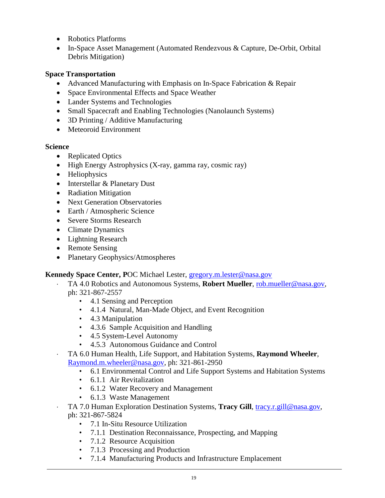- Robotics Platforms
- In-Space Asset Management (Automated Rendezvous & Capture, De-Orbit, Orbital Debris Mitigation)

#### **Space Transportation**

- Advanced Manufacturing with Emphasis on In-Space Fabrication & Repair
- Space Environmental Effects and Space Weather
- Lander Systems and Technologies
- Small Spacecraft and Enabling Technologies (Nanolaunch Systems)
- 3D Printing / Additive Manufacturing
- Meteoroid Environment

#### **Science**

- Replicated Optics
- High Energy Astrophysics (X-ray, gamma ray, cosmic ray)
- Heliophysics
- Interstellar & Planetary Dust
- Radiation Mitigation
- Next Generation Observatories
- Earth / Atmospheric Science
- Severe Storms Research
- Climate Dynamics
- Lightning Research
- Remote Sensing
- Planetary Geophysics/Atmospheres

#### **Kennedy Space Center, P**OC Michael Lester, [gregory.m.lester@nasa.gov](mailto:gregory.m.lester@nasa.gov)

- ⋅ TA 4.0 Robotics and Autonomous Systems, **Robert Mueller**, [rob.mueller@nasa.gov,](mailto:rob.mueller@nasa.gov) ph: 321-867-2557
	- 4.1 Sensing and Perception
	- 4.1.4 Natural, Man-Made Object, and Event Recognition
	- 4.3 Manipulation
	- 4.3.6 Sample Acquisition and Handling
	- 4.5 System-Level Autonomy
	- 4.5.3 Autonomous Guidance and Control
- TA 6.0 Human Health, Life Support, and Habitation Systems, **Raymond Wheeler**, [Raymond.m.wheeler@nasa.gov,](mailto:Raymond.m.wheeler@nasa.gov) ph: 321-861-2950
	- 6.1 Environmental Control and Life Support Systems and Habitation Systems
	- 6.1.1 Air Revitalization
	- 6.1.2 Water Recovery and Management
	- 6.1.3 Waste Management
- ⋅ TA 7.0 Human Exploration Destination Systems, **Tracy Gill**, [tracy.r.gill@nasa.gov,](mailto:tracy.r.gill@nasa.gov) ph: 321-867-5824
	- 7.1 In-Situ Resource Utilization
	- 7.1.1 Destination Reconnaissance, Prospecting, and Mapping
	- 7.1.2 Resource Acquisition
	- 7.1.3 Processing and Production
	- 7.1.4 Manufacturing Products and Infrastructure Emplacement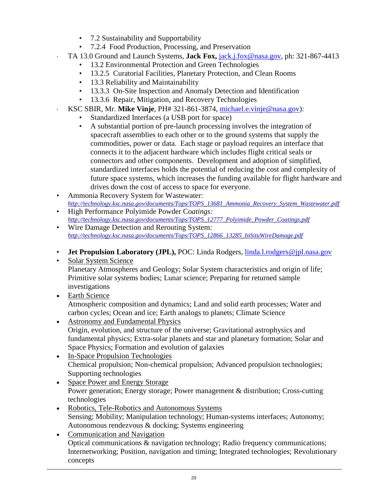- 7.2 Sustainability and Supportability
- 7.2.4 Food Production, Processing, and Preservation
- ⋅ TA 13.0 Ground and Launch Systems, **Jack Fox,** [jack.j.fox@nasa.gov,](mailto:jack.j.fox@nasa.gov) ph: 321-867-4413
	- 13.2 Environmental Protection and Green Technologies
	- 13.2.5 Curatorial Facilities, Planetary Protection, and Clean Rooms
	- 13.3 Reliability and Maintainability
	- 13.3.3 On-Site Inspection and Anomaly Detection and Identification
	- 13.3.6 Repair, Mitigation, and Recovery Technologies
	- ⋅ KSC SBIR, Mr. **Mike Vinje**, PH# 321-861-3874, [michael.e.vinje@nasa.gov\)](mailto:michael.e.vinje@nasa.gov):
		- Standardized Interfaces (a USB port for space)
		- A substantial portion of pre-launch processing involves the integration of spacecraft assemblies to each other or to the ground systems that supply the commodities, power or data. Each stage or payload requires an interface that connects it to the adjacent hardware which includes flight critical seals or connectors and other components. Development and adoption of simplified, standardized interfaces holds the potential of reducing the cost and complexity of future space systems, which increases the funding available for flight hardware and drives down the cost of access to space for everyone.
- Ammonia Recovery System for Wastewater: *[http://technology.ksc.nasa.gov/documents/Tops/TOPS\\_13681\\_Ammonia\\_Recovery\\_System\\_Wastewater.pdf](http://technology.ksc.nasa.gov/documents/Tops/TOPS_13681_Ammonia_Recovery_System_Wastewater.pdf)*
- High Performance Polyimide Powder Co*atings: [http://technology.ksc.nasa.gov/documents/Tops/TOPS\\_12777\\_Polyimide\\_Powder\\_Coatings.pdf](http://technology.ksc.nasa.gov/documents/Tops/TOPS_12777_Polyimide_Powder_Coatings.pdf)*
- Wire Damage Detection and Rerouting System: *[http://technology.ksc.nasa.gov/documents/Tops/TOPS\\_12866\\_13285\\_InSituWireDamage.pdf](http://technology.ksc.nasa.gov/documents/Tops/TOPS_12866_13285_InSituWireDamage.pdf)*
- **Jet Propulsion Laboratory (JPL), POC:** Linda Rodgers, [linda.l.rodgers@jpl.nasa.gov](mailto:linda.l.rodgers@jpl.nasa.gov)
- [Solar System Science](mailto:education@jpl.nasa.gov?subject=1.%20Solar%20System%20Science) Planetary Atmospheres and Geology; Solar System characteristics and origin of life; Primitive solar systems bodies; Lunar science; Preparing for returned sample investigations
- [Earth Science](mailto:education@jpl.nasa.gov?subject=2.%20Earth%20Science) Atmospheric composition and dynamics; Land and solid earth processes; Water and carbon cycles; Ocean and ice; Earth analogs to planets; Climate Science
- [Astronomy and Fundamental Physics](mailto:education@jpl.nasa.gov?subject=3.%20Astronomy%20and%20Fundamental%20Physics) Origin, evolution, and structure of the universe; Gravitational astrophysics and fundamental physics; Extra-solar planets and star and planetary formation; Solar and Space Physics; Formation and evolution of galaxies
- In-Space [Propulsion Technologies](mailto:education@jpl.nasa.gov?subject=4.%20In-Space%20Propulsion%20Technologies) Chemical propulsion; Non-chemical propulsion; Advanced propulsion technologies; Supporting technologies
- [Space Power and Energy Storage](mailto:education@jpl.nasa.gov?subject=5.%20Space%20Power%20and%20Energy%20Storage) Power generation; Energy storage; Power management & distribution; Cross-cutting technologies
- [Robotics, Tele-Robotics and Autonomous Systems](mailto:education@jpl.nasa.gov?subject=6.%20Robotics,%20Tele-Robotics%20and%20Autonomous%20Systems) Sensing; Mobility; Manipulation technology; Human-systems interfaces; Autonomy; Autonomous rendezvous & docking; Systems engineering
- [Communication and Navigation](mailto:education@jpl.nasa.gov?subject=7.%20Communication%20and%20Navigation) Optical communications & navigation technology; Radio frequency communications; Internetworking; Position, navigation and timing; Integrated technologies; Revolutionary concepts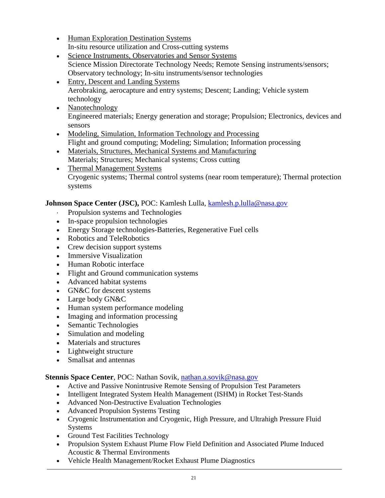- [Human Exploration Destination Systems](mailto:education@jpl.nasa.gov?subject=8.%20Human%20Exploration%20Destination%20Systems) In-situ resource utilization and Cross-cutting systems
- [Science Instruments, Observatories and Sensor Systems](mailto:education@jpl.nasa.gov?subject=9.%20Science%20Instruments,%20Observatories%20and%20Sensor%20Systems) Science Mission Directorate Technology Needs; Remote Sensing instruments/sensors; Observatory technology; In-situ instruments/sensor technologies
- [Entry, Descent and Landing Systems](mailto:education@jpl.nasa.gov?subject=10.%20Entry,%20Descent%20and%20Landing%20Systems) Aerobraking, aerocapture and entry systems; Descent; Landing; Vehicle system technology
- [Nanotechnology](mailto:education@jpl.nasa.gov?subject=11.%20Nanotechnology) Engineered materials; Energy generation and storage; Propulsion; Electronics, devices and sensors
- [Modeling, Simulation, Information Technology and Processing](mailto:education@jpl.nasa.gov?subject=12.%20Modeling,%20Simulation,%20Information%20Technology%20and%20Processing) Flight and ground computing; Modeling; Simulation; Information processing
- [Materials, Structures, Mechanical Systems and Manufacturing](mailto:education@jpl.nasa.gov?subject=13.%20Materials,%20Structures,%20Mechanical%20Systems%20and%20Manufacturing) Materials; Structures; Mechanical systems; Cross cutting
- [Thermal Management Systems](mailto:education@jpl.nasa.gov?subject=14.%20Thermal%20Management%20Systems) Cryogenic systems; Thermal control systems (near room temperature); Thermal protection systems

## Johnson Space Center (JSC), POC: Kamlesh Lulla, [kamlesh.p.lulla@nasa.gov](mailto:kamlesh.p.lulla@nasa.gov)

- Propulsion systems and Technologies
- In-space propulsion technologies
- Energy Storage technologies-Batteries, Regenerative Fuel cells
- Robotics and TeleRobotics
- Crew decision support systems
- Immersive Visualization
- Human Robotic interface
- Flight and Ground communication systems
- Advanced habitat systems
- GN&C for descent systems
- Large body GN&C
- Human system performance modeling
- Imaging and information processing
- Semantic Technologies
- Simulation and modeling
- Materials and structures
- Lightweight structure
- Smallsat and antennas

## **Stennis Space Center**, POC: Nathan Sovik, [nathan.a.sovik@nasa.gov](mailto:nathan.a.sovik@nasa.gov)

- Active and Passive Nonintrusive Remote Sensing of Propulsion Test Parameters
- Intelligent Integrated System Health Management (ISHM) in Rocket Test-Stands
- Advanced Non-Destructive Evaluation Technologies
- Advanced Propulsion Systems Testing
- Cryogenic Instrumentation and Cryogenic, High Pressure, and Ultrahigh Pressure Fluid Systems
- Ground Test Facilities Technology
- Propulsion System Exhaust Plume Flow Field Definition and Associated Plume Induced Acoustic & Thermal Environments
- Vehicle Health Management/Rocket Exhaust Plume Diagnostics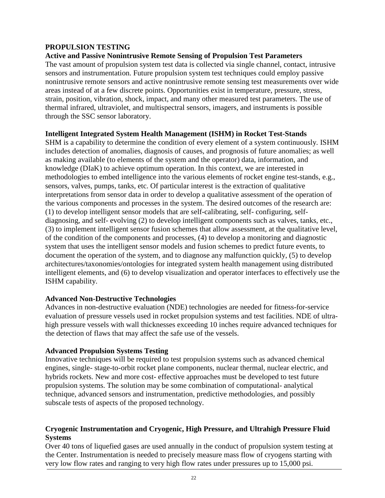#### **PROPULSION TESTING**

#### **Active and Passive Nonintrusive Remote Sensing of Propulsion Test Parameters**

The vast amount of propulsion system test data is collected via single channel, contact, intrusive sensors and instrumentation. Future propulsion system test techniques could employ passive nonintrusive remote sensors and active nonintrusive remote sensing test measurements over wide areas instead of at a few discrete points. Opportunities exist in temperature, pressure, stress, strain, position, vibration, shock, impact, and many other measured test parameters. The use of thermal infrared, ultraviolet, and multispectral sensors, imagers, and instruments is possible through the SSC sensor laboratory.

#### **Intelligent Integrated System Health Management (ISHM) in Rocket Test-Stands**

SHM is a capability to determine the condition of every element of a system continuously. ISHM includes detection of anomalies, diagnosis of causes, and prognosis of future anomalies; as well as making available (to elements of the system and the operator) data, information, and knowledge (DIaK) to achieve optimum operation. In this context, we are interested in methodologies to embed intelligence into the various elements of rocket engine test-stands, e.g., sensors, valves, pumps, tanks, etc. Of particular interest is the extraction of qualitative interpretations from sensor data in order to develop a qualitative assessment of the operation of the various components and processes in the system. The desired outcomes of the research are: (1) to develop intelligent sensor models that are self-calibrating, self- configuring, selfdiagnosing, and self- evolving (2) to develop intelligent components such as valves, tanks, etc., (3) to implement intelligent sensor fusion schemes that allow assessment, at the qualitative level, of the condition of the components and processes, (4) to develop a monitoring and diagnostic system that uses the intelligent sensor models and fusion schemes to predict future events, to document the operation of the system, and to diagnose any malfunction quickly, (5) to develop architectures/taxonomies/ontologies for integrated system health management using distributed intelligent elements, and (6) to develop visualization and operator interfaces to effectively use the ISHM capability.

#### **Advanced Non-Destructive Technologies**

Advances in non-destructive evaluation (NDE) technologies are needed for fitness-for-service evaluation of pressure vessels used in rocket propulsion systems and test facilities. NDE of ultrahigh pressure vessels with wall thicknesses exceeding 10 inches require advanced techniques for the detection of flaws that may affect the safe use of the vessels.

#### **Advanced Propulsion Systems Testing**

Innovative techniques will be required to test propulsion systems such as advanced chemical engines, single- stage-to-orbit rocket plane components, nuclear thermal, nuclear electric, and hybrids rockets. New and more cost- effective approaches must be developed to test future propulsion systems. The solution may be some combination of computational- analytical technique, advanced sensors and instrumentation, predictive methodologies, and possibly subscale tests of aspects of the proposed technology.

#### **Cryogenic Instrumentation and Cryogenic, High Pressure, and Ultrahigh Pressure Fluid Systems**

Over 40 tons of liquefied gases are used annually in the conduct of propulsion system testing at the Center. Instrumentation is needed to precisely measure mass flow of cryogens starting with very low flow rates and ranging to very high flow rates under pressures up to 15,000 psi.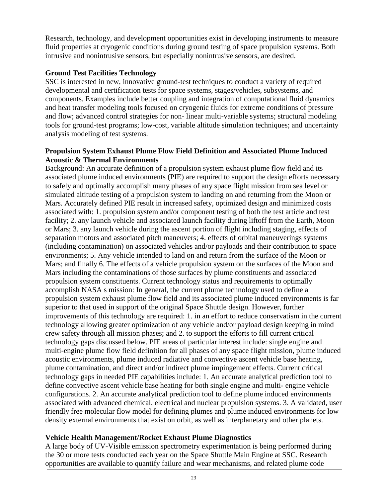Research, technology, and development opportunities exist in developing instruments to measure fluid properties at cryogenic conditions during ground testing of space propulsion systems. Both intrusive and nonintrusive sensors, but especially nonintrusive sensors, are desired.

#### **Ground Test Facilities Technology**

SSC is interested in new, innovative ground-test techniques to conduct a variety of required developmental and certification tests for space systems, stages/vehicles, subsystems, and components. Examples include better coupling and integration of computational fluid dynamics and heat transfer modeling tools focused on cryogenic fluids for extreme conditions of pressure and flow; advanced control strategies for non- linear multi-variable systems; structural modeling tools for ground-test programs; low-cost, variable altitude simulation techniques; and uncertainty analysis modeling of test systems.

#### **Propulsion System Exhaust Plume Flow Field Definition and Associated Plume Induced Acoustic & Thermal Environments**

Background: An accurate definition of a propulsion system exhaust plume flow field and its associated plume induced environments (PIE) are required to support the design efforts necessary to safely and optimally accomplish many phases of any space flight mission from sea level or simulated altitude testing of a propulsion system to landing on and returning from the Moon or Mars. Accurately defined PIE result in increased safety, optimized design and minimized costs associated with: 1. propulsion system and/or component testing of both the test article and test facility; 2. any launch vehicle and associated launch facility during liftoff from the Earth, Moon or Mars; 3. any launch vehicle during the ascent portion of flight including staging, effects of separation motors and associated pitch maneuvers; 4. effects of orbital maneuverings systems (including contamination) on associated vehicles and/or payloads and their contribution to space environments; 5. Any vehicle intended to land on and return from the surface of the Moon or Mars; and finally 6. The effects of a vehicle propulsion system on the surfaces of the Moon and Mars including the contaminations of those surfaces by plume constituents and associated propulsion system constituents. Current technology status and requirements to optimally accomplish NASA s mission: In general, the current plume technology used to define a propulsion system exhaust plume flow field and its associated plume induced environments is far superior to that used in support of the original Space Shuttle design. However, further improvements of this technology are required: 1. in an effort to reduce conservatism in the current technology allowing greater optimization of any vehicle and/or payload design keeping in mind crew safety through all mission phases; and 2. to support the efforts to fill current critical technology gaps discussed below. PIE areas of particular interest include: single engine and multi-engine plume flow field definition for all phases of any space flight mission, plume induced acoustic environments, plume induced radiative and convective ascent vehicle base heating, plume contamination, and direct and/or indirect plume impingement effects. Current critical technology gaps in needed PIE capabilities include: 1. An accurate analytical prediction tool to define convective ascent vehicle base heating for both single engine and multi- engine vehicle configurations. 2. An accurate analytical prediction tool to define plume induced environments associated with advanced chemical, electrical and nuclear propulsion systems. 3. A validated, user friendly free molecular flow model for defining plumes and plume induced environments for low density external environments that exist on orbit, as well as interplanetary and other planets.

#### **Vehicle Health Management/Rocket Exhaust Plume Diagnostics**

A large body of UV-Visible emission spectrometry experimentation is being performed during the 30 or more tests conducted each year on the Space Shuttle Main Engine at SSC. Research opportunities are available to quantify failure and wear mechanisms, and related plume code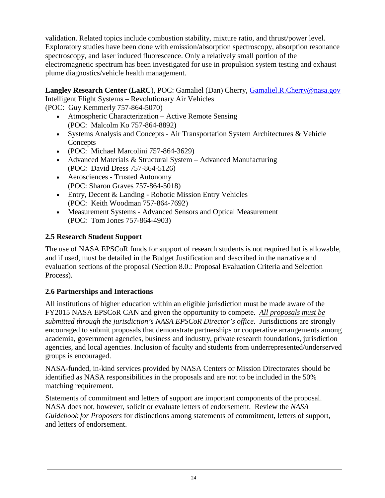validation. Related topics include combustion stability, mixture ratio, and thrust/power level. Exploratory studies have been done with emission/absorption spectroscopy, absorption resonance spectroscopy, and laser induced fluorescence. Only a relatively small portion of the electromagnetic spectrum has been investigated for use in propulsion system testing and exhaust plume diagnostics/vehicle health management.

**Langley Research Center (LaRC**), POC: Gamaliel (Dan) Cherry*,* [Gamaliel.R.Cherry@nasa.gov](mailto:Gamaliel.R.Cherry@nasa.gov) Intelligent Flight Systems – Revolutionary Air Vehicles

(POC: Guy Kemmerly 757-864-5070)

- Atmospheric Characterization Active Remote Sensing (POC: Malcolm Ko 757-864-8892)
- Systems Analysis and Concepts Air Transportation System Architectures & Vehicle **Concepts**
- (POC: Michael Marcolini 757-864-3629)
- Advanced Materials & Structural System Advanced Manufacturing (POC: David Dress 757-864-5126)
- Aerosciences Trusted Autonomy (POC: Sharon Graves 757-864-5018)
- Entry, Decent & Landing Robotic Mission Entry Vehicles (POC: Keith Woodman 757-864-7692)
- Measurement Systems Advanced Sensors and Optical Measurement (POC: Tom Jones 757-864-4903)

## <span id="page-23-0"></span>**2.5 Research Student Support**

The use of NASA EPSCoR funds for support of research students is not required but is allowable, and if used, must be detailed in the Budget Justification and described in the narrative and evaluation sections of the proposal (Section 8.0.: Proposal Evaluation Criteria and Selection Process).

## <span id="page-23-1"></span>**2.6 Partnerships and Interactions**

All institutions of higher education within an eligible jurisdiction must be made aware of the FY2015 NASA EPSCoR CAN and given the opportunity to compete. *All proposals must be submitted through the jurisdiction's NASA EPSCoR Director's office*. Jurisdictions are strongly encouraged to submit proposals that demonstrate partnerships or cooperative arrangements among academia, government agencies, business and industry, private research foundations, jurisdiction agencies, and local agencies. Inclusion of faculty and students from underrepresented/underserved groups is encouraged.

NASA-funded, in-kind services provided by NASA Centers or Mission Directorates should be identified as NASA responsibilities in the proposals and are not to be included in the 50% matching requirement.

Statements of commitment and letters of support are important components of the proposal. NASA does not, however, solicit or evaluate letters of endorsement. Review the *NASA Guidebook for Proposers* for distinctions among statements of commitment, letters of support, and letters of endorsement.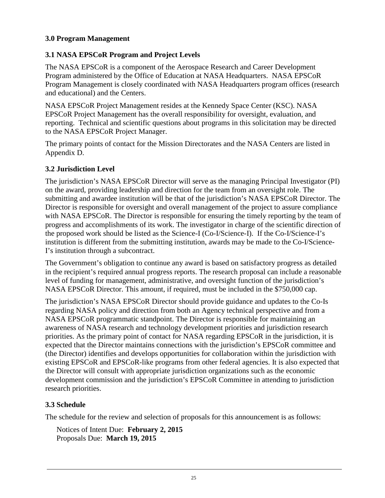### <span id="page-24-0"></span>**3.0 Program Management**

### <span id="page-24-1"></span>**3.1 NASA EPSCoR Program and Project Levels**

The NASA EPSCoR is a component of the Aerospace Research and Career Development Program administered by the Office of Education at NASA Headquarters. NASA EPSCoR Program Management is closely coordinated with NASA Headquarters program offices (research and educational) and the Centers.

NASA EPSCoR Project Management resides at the Kennedy Space Center (KSC). NASA EPSCoR Project Management has the overall responsibility for oversight, evaluation, and reporting. Technical and scientific questions about programs in this solicitation may be directed to the NASA EPSCoR Project Manager.

The primary points of contact for the Mission Directorates and the NASA Centers are listed in Appendix D.

#### <span id="page-24-2"></span>**3.2 Jurisdiction Level**

The jurisdiction's NASA EPSCoR Director will serve as the managing Principal Investigator (PI) on the award, providing leadership and direction for the team from an oversight role. The submitting and awardee institution will be that of the jurisdiction's NASA EPSCoR Director. The Director is responsible for oversight and overall management of the project to assure compliance with NASA EPSCoR. The Director is responsible for ensuring the timely reporting by the team of progress and accomplishments of its work. The investigator in charge of the scientific direction of the proposed work should be listed as the Science-I (Co-I/Science-I). If the Co-I/Science-I's institution is different from the submitting institution, awards may be made to the Co-I/Science-I's institution through a subcontract.

The Government's obligation to continue any award is based on satisfactory progress as detailed in the recipient's required annual progress reports. The research proposal can include a reasonable level of funding for management, administrative, and oversight function of the jurisdiction's NASA EPSCoR Director. This amount, if required, must be included in the \$750,000 cap.

The jurisdiction's NASA EPSCoR Director should provide guidance and updates to the Co-Is regarding NASA policy and direction from both an Agency technical perspective and from a NASA EPSCoR programmatic standpoint. The Director is responsible for maintaining an awareness of NASA research and technology development priorities and jurisdiction research priorities. As the primary point of contact for NASA regarding EPSCoR in the jurisdiction, it is expected that the Director maintains connections with the jurisdiction's EPSCoR committee and (the Director) identifies and develops opportunities for collaboration within the jurisdiction with existing EPSCoR and EPSCoR-like programs from other federal agencies. It is also expected that the Director will consult with appropriate jurisdiction organizations such as the economic development commission and the jurisdiction's EPSCoR Committee in attending to jurisdiction research priorities.

#### <span id="page-24-3"></span>**3.3 Schedule**

The schedule for the review and selection of proposals for this announcement is as follows:

Notices of Intent Due: **February 2, 2015** Proposals Due: **March 19, 2015**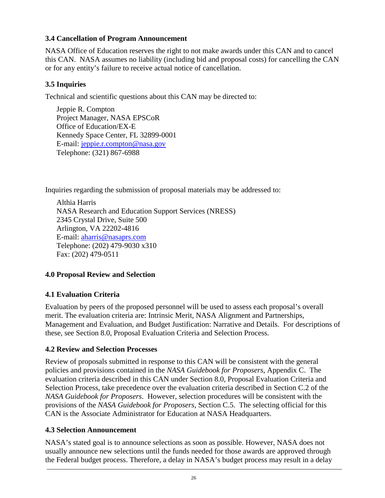### <span id="page-25-0"></span>**3.4 Cancellation of Program Announcement**

NASA Office of Education reserves the right to not make awards under this CAN and to cancel this CAN. NASA assumes no liability (including bid and proposal costs) for cancelling the CAN or for any entity's failure to receive actual notice of cancellation.

### <span id="page-25-1"></span>**3.5 Inquiries**

Technical and scientific questions about this CAN may be directed to:

Jeppie R. Compton Project Manager, NASA EPSCoR Office of Education/EX-E Kennedy Space Center, FL 32899-0001 E-mail: [jeppie.r.compton@nasa.gov](mailto:eppie.r.compton@nasa.gov) Telephone: (321) 867-6988

Inquiries regarding the submission of proposal materials may be addressed to:

Althia Harris NASA Research and Education Support Services (NRESS) 2345 Crystal Drive, Suite 500 Arlington, VA 22202-4816 E-mail: [aharris@nasaprs.com](mailto:aharris@nasaprs.com) Telephone: (202) 479-9030 x310 Fax: (202) 479-0511

## <span id="page-25-2"></span>**4.0 Proposal Review and Selection**

## <span id="page-25-3"></span>**4.1 Evaluation Criteria**

Evaluation by peers of the proposed personnel will be used to assess each proposal's overall merit. The evaluation criteria are: Intrinsic Merit, NASA Alignment and Partnerships, Management and Evaluation, and Budget Justification: Narrative and Details. For descriptions of these, see Section 8.0, Proposal Evaluation Criteria and Selection Process.

#### <span id="page-25-4"></span>**4.2 Review and Selection Processes**

Review of proposals submitted in response to this CAN will be consistent with the general policies and provisions contained in the *NASA Guidebook for Proposers*, Appendix C. The evaluation criteria described in this CAN under Section 8.0, Proposal Evaluation Criteria and Selection Process, take precedence over the evaluation criteria described in Section C.2 of the *NASA Guidebook for Proposers*. However, selection procedures will be consistent with the provisions of the *NASA Guidebook for Proposers*, Section C.5. The selecting official for this CAN is the Associate Administrator for Education at NASA Headquarters.

#### <span id="page-25-5"></span>**4.3 Selection Announcement**

NASA's stated goal is to announce selections as soon as possible. However, NASA does not usually announce new selections until the funds needed for those awards are approved through the Federal budget process. Therefore, a delay in NASA's budget process may result in a delay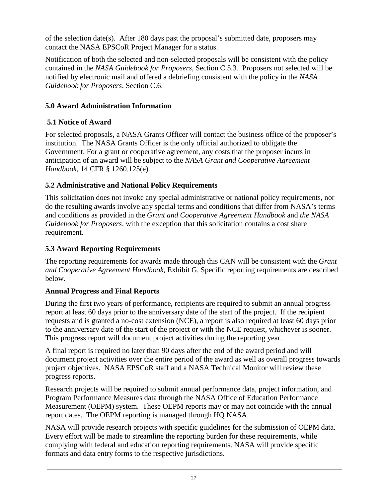of the selection date(s). After 180 days past the proposal's submitted date, proposers may contact the NASA EPSCoR Project Manager for a status.

Notification of both the selected and non-selected proposals will be consistent with the policy contained in the *NASA Guidebook for Proposers*, Section C.5.3*.* Proposers not selected will be notified by electronic mail and offered a debriefing consistent with the policy in the *NASA Guidebook for Proposers*, Section C.6.

## <span id="page-26-0"></span>**5.0 Award Administration Information**

## <span id="page-26-1"></span>**5.1 Notice of Award**

For selected proposals, a NASA Grants Officer will contact the business office of the proposer's institution. The NASA Grants Officer is the only official authorized to obligate the Government. For a grant or cooperative agreement, any costs that the proposer incurs in anticipation of an award will be subject to the *NASA Grant and Cooperative Agreement Handbook*, 14 CFR § 1260.125(e).

## <span id="page-26-2"></span>**5.2 Administrative and National Policy Requirements**

This solicitation does not invoke any special administrative or national policy requirements, nor do the resulting awards involve any special terms and conditions that differ from NASA's terms and conditions as provided in the *Grant and Cooperative Agreement Handbook* and *the NASA Guidebook for Proposers,* with the exception that this solicitation contains a cost share requirement.

## <span id="page-26-3"></span>**5.3 Award Reporting Requirements**

The reporting requirements for awards made through this CAN will be consistent with the *Grant and Cooperative Agreement Handbook,* Exhibit G. Specific reporting requirements are described below.

## **Annual Progress and Final Reports**

During the first two years of performance, recipients are required to submit an annual progress report at least 60 days prior to the anniversary date of the start of the project. If the recipient requests and is granted a no-cost extension (NCE), a report is also required at least 60 days prior to the anniversary date of the start of the project or with the NCE request, whichever is sooner. This progress report will document project activities during the reporting year.

A final report is required no later than 90 days after the end of the award period and will document project activities over the entire period of the award as well as overall progress towards project objectives. NASA EPSCoR staff and a NASA Technical Monitor will review these progress reports.

Research projects will be required to submit annual performance data, project information, and Program Performance Measures data through the NASA Office of Education Performance Measurement (OEPM) system. These OEPM reports may or may not coincide with the annual report dates. The OEPM reporting is managed through HQ NASA.

NASA will provide research projects with specific guidelines for the submission of OEPM data. Every effort will be made to streamline the reporting burden for these requirements, while complying with federal and education reporting requirements. NASA will provide specific formats and data entry forms to the respective jurisdictions.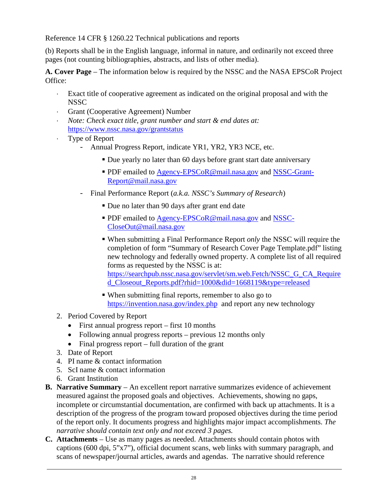Reference 14 CFR § 1260.22 Technical publications and reports

(b) Reports shall be in the English language, informal in nature, and ordinarily not exceed three pages (not counting bibliographies, abstracts, and lists of other media).

**A. Cover Page** – The information below is required by the NSSC and the NASA EPSCoR Project Office:

- ⋅ Exact title of cooperative agreement as indicated on the original proposal and with the **NSSC**
- ⋅ Grant (Cooperative Agreement) Number
- ⋅ *Note: Check exact title, grant number and start & end dates at:* <https://www.nssc.nasa.gov/grantstatus>
- ⋅ Type of Report
	- Annual Progress Report, indicate YR1, YR2, YR3 NCE, etc.
		- Due yearly no later than 60 days before grant start date anniversary
		- **PDF** emailed to [Agency-EPSCoR@mail.nasa.gov](mailto:Agency-EPSCoR@mail.nasa.gov) and [NSSC-Grant-](mailto:NSSC-Grant-Report@mail.nasa.gov)[Report@mail.nasa.gov](mailto:NSSC-Grant-Report@mail.nasa.gov)
	- Final Performance Report (*a.k.a. NSSC's Summary of Research*)
		- Due no later than 90 days after grant end date
		- **PDF** emailed to [Agency-EPSCoR@mail.nasa.gov](mailto:Agency-EPSCoR@mail.nasa.gov) and [NSSC-](mailto:NSSC-CloseOut@mail.nasa.gov)[CloseOut@mail.nasa.gov](mailto:NSSC-CloseOut@mail.nasa.gov)
		- When submitting a Final Performance Report *only* the NSSC will require the completion of form "Summary of Research Cover Page Template.pdf" listing new technology and federally owned property. A complete list of all required forms as requested by the NSSC is at: [https://searchpub.nssc.nasa.gov/servlet/sm.web.Fetch/NSSC\\_G\\_CA\\_Require](https://searchpub.nssc.nasa.gov/servlet/sm.web.Fetch/NSSC_G_CA_Required_Closeout_Reports.pdf?rhid=1000&did=1668119&type=released) [d\\_Closeout\\_Reports.pdf?rhid=1000&did=1668119&type=released](https://searchpub.nssc.nasa.gov/servlet/sm.web.Fetch/NSSC_G_CA_Required_Closeout_Reports.pdf?rhid=1000&did=1668119&type=released)
		- When submitting final reports, remember to also go to <https://invention.nasa.gov/index.php>and report any new technology
- 2. Period Covered by Report
	- First annual progress report first 10 months
	- Following annual progress reports previous 12 months only
	- Final progress report full duration of the grant
- 3. Date of Report
- 4. PI name & contact information
- 5. ScI name & contact information
- 6. Grant Institution
- **B. Narrative Summary** An excellent report narrative summarizes evidence of achievement measured against the proposed goals and objectives. Achievements, showing no gaps, incomplete or circumstantial documentation, are confirmed with back up attachments. It is a description of the progress of the program toward proposed objectives during the time period of the report only. It documents progress and highlights major impact accomplishments. *The narrative should contain text only and not exceed 3 pages.*
- **C. Attachments** Use as many pages as needed. Attachments should contain photos with captions (600 dpi, 5"x7"), official document scans, web links with summary paragraph, and scans of newspaper/journal articles, awards and agendas. The narrative should reference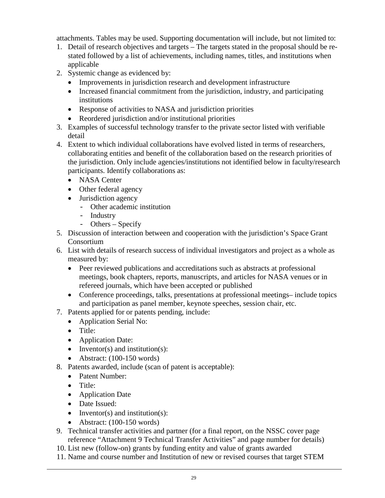attachments. Tables may be used. Supporting documentation will include, but not limited to:

- 1. Detail of research objectives and targets The targets stated in the proposal should be restated followed by a list of achievements, including names, titles, and institutions when applicable
- 2. Systemic change as evidenced by:
	- Improvements in jurisdiction research and development infrastructure
	- Increased financial commitment from the jurisdiction, industry, and participating institutions
	- Response of activities to NASA and jurisdiction priorities
	- Reordered jurisdiction and/or institutional priorities
- 3. Examples of successful technology transfer to the private sector listed with verifiable detail
- 4. Extent to which individual collaborations have evolved listed in terms of researchers, collaborating entities and benefit of the collaboration based on the research priorities of the jurisdiction. Only include agencies/institutions not identified below in faculty/research participants. Identify collaborations as:
	- NASA Center
	- Other federal agency
	- Jurisdiction agency
		- Other academic institution
		- Industry
		- Others Specify
- 5. Discussion of interaction between and cooperation with the jurisdiction's Space Grant Consortium
- 6. List with details of research success of individual investigators and project as a whole as measured by:
	- Peer reviewed publications and accreditations such as abstracts at professional meetings, book chapters, reports, manuscripts, and articles for NASA venues or in refereed journals, which have been accepted or published
	- Conference proceedings, talks, presentations at professional meetings- include topics and participation as panel member, keynote speeches, session chair, etc.
- 7. Patents applied for or patents pending, include:
	- Application Serial No:
	- Title:
	- Application Date:
	- Inventor(s) and institution(s):
	- Abstract: (100-150 words)
- 8. Patents awarded, include (scan of patent is acceptable):
	- Patent Number:
	- Title:
	- Application Date
	- Date Issued:
	- Inventor(s) and institution(s):
	- Abstract: (100-150 words)
- 9. Technical transfer activities and partner (for a final report, on the NSSC cover page reference "Attachment 9 Technical Transfer Activities" and page number for details)
- 10. List new (follow-on) grants by funding entity and value of grants awarded
- 11. Name and course number and Institution of new or revised courses that target STEM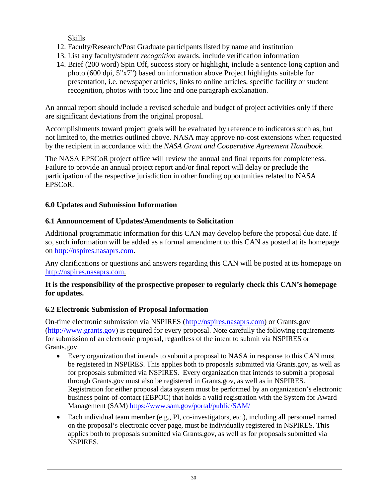Skills

- 12. Faculty/Research/Post Graduate participants listed by name and institution
- 13. List any faculty/student *recognition* awards, include verification information
- 14. Brief (200 word) Spin Off, success story or highlight, include a sentence long caption and photo (600 dpi, 5"x7") based on information above Project highlights suitable for presentation, i.e. newspaper articles, links to online articles, specific facility or student recognition, photos with topic line and one paragraph explanation.

An annual report should include a revised schedule and budget of project activities only if there are significant deviations from the original proposal.

Accomplishments toward project goals will be evaluated by reference to indicators such as, but not limited to, the metrics outlined above. NASA may approve no-cost extensions when requested by the recipient in accordance with the *NASA Grant and Cooperative Agreement Handbook*.

The NASA EPSCoR project office will review the annual and final reports for completeness. Failure to provide an annual project report and/or final report will delay or preclude the participation of the respective jurisdiction in other funding opportunities related to NASA EPSCoR.

## <span id="page-29-0"></span>**6.0 Updates and Submission Information**

## <span id="page-29-1"></span>**6.1 Announcement of Updates/Amendments to Solicitation**

Additional programmatic information for this CAN may develop before the proposal due date. If so, such information will be added as a formal amendment to this CAN as posted at its homepage on [http://nspires.nasaprs.com.](http://nspires.nasaprs.com/)

Any clarifications or questions and answers regarding this CAN will be posted at its homepage on [http://nspires.nasaprs.com.](http://nspires.nasaprs.com/)

## **It is the responsibility of the prospective proposer to regularly check this CAN's homepage for updates.**

## <span id="page-29-2"></span>**6.2 Electronic Submission of Proposal Information**

On-time electronic submission via NSPIRES [\(http://nspires.nasaprs.com\)](http://nspires.nasaprs.com/) or Grants.gov [\(http://www.grants.gov\)](http://www.grants.gov/) is required for every proposal. Note carefully the following requirements for submission of an electronic proposal, regardless of the intent to submit via NSPIRES or Grants.gov.

- Every organization that intends to submit a proposal to NASA in response to this CAN must be registered in NSPIRES. This applies both to proposals submitted via Grants.gov, as well as for proposals submitted via NSPIRES. Every organization that intends to submit a proposal through Grants.gov must also be registered in Grants.gov, as well as in NSPIRES. Registration for either proposal data system must be performed by an organization's electronic business point-of-contact (EBPOC) that holds a valid registration with the System for Award Management (SAM)<https://www.sam.gov/portal/public/SAM/>
- Each individual team member (e.g., PI, co-investigators, etc.), including all personnel named on the proposal's electronic cover page, must be individually registered in NSPIRES. This applies both to proposals submitted via Grants.gov, as well as for proposals submitted via NSPIRES.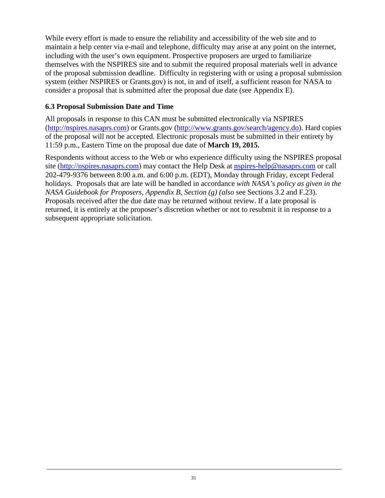While every effort is made to ensure the reliability and accessibility of the web site and to maintain a help center via e-mail and telephone, difficulty may arise at any point on the internet, including with the user's own equipment. Prospective proposers are urged to familiarize themselves with the NSPIRES site and to submit the required proposal materials well in advance of the proposal submission deadline. Difficulty in registering with or using a proposal submission system (either NSPIRES or Grants.gov) is not, in and of itself, a sufficient reason for NASA to consider a proposal that is submitted after the proposal due date (see Appendix E).

### **6.3 Proposal Submission Date and Time**

All proposals in response to this CAN must be submitted electronically via NSPIRES [\(http://nspires.nasaprs.com\)](http://nspires.nasaprs.com/) or Grants.gov [\(http://www.grants.gov/search/agency.do\)](http://www.grants.gov/search/agency.do). Hard copies of the proposal will not be accepted. Electronic proposals must be submitted in their entirety by 11:59 p.m., Eastern Time on the proposal due date of **March 19, 2015.**

Respondents without access to the Web or who experience difficulty using the NSPIRES proposal site [\(http://nspires.nasaprs.com\)](http://nspires.nasaprs.com/) may contact the Help Desk at [nspires-help@nasaprs.com](mailto:nspires-help@nasaprs.com) or call 202-479-9376 between 8:00 a.m. and 6:00 p.m. (EDT), Monday through Friday, except Federal holidays. Proposals that are late will be handled in accordance *with NASA's policy as given in the NASA Guidebook for Proposers, Appendix B, Section (g) (also* see Sections 3.2 and F.23). Proposals received after the due date may be returned without review. If a late proposal is returned, it is entirely at the proposer's discretion whether or not to resubmit it in response to a subsequent appropriate solicitation.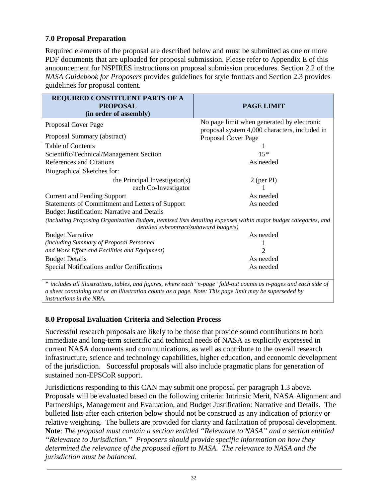## **7.0 Proposal Preparation**

Required elements of the proposal are described below and must be submitted as one or more PDF documents that are uploaded for proposal submission. Please refer to Appendix E of this announcement for NSPIRES instructions on proposal submission procedures. Section 2.2 of the *NASA Guidebook for Proposers* provides guidelines for style formats and Section 2.3 provides guidelines for proposal content.

| <b>REQUIRED CONSTITUENT PARTS OF A</b><br><b>PROPOSAL</b>                                                          | PAGE LIMIT                                                           |
|--------------------------------------------------------------------------------------------------------------------|----------------------------------------------------------------------|
| (in order of assembly)                                                                                             |                                                                      |
| Proposal Cover Page                                                                                                | No page limit when generated by electronic                           |
| Proposal Summary (abstract)                                                                                        | proposal system 4,000 characters, included in<br>Proposal Cover Page |
| <b>Table of Contents</b>                                                                                           |                                                                      |
| Scientific/Technical/Management Section                                                                            | $15*$                                                                |
| <b>References and Citations</b>                                                                                    | As needed                                                            |
| Biographical Sketches for:                                                                                         |                                                                      |
| the Principal Investigator(s)                                                                                      | $2$ (per PI)                                                         |
| each Co-Investigator                                                                                               |                                                                      |
| <b>Current and Pending Support</b>                                                                                 | As needed                                                            |
| Statements of Commitment and Letters of Support                                                                    | As needed                                                            |
| <b>Budget Justification: Narrative and Details</b>                                                                 |                                                                      |
| (including Proposing Organization Budget, itemized lists detailing expenses within major budget categories, and    |                                                                      |
| detailed subcontract/subaward budgets)                                                                             |                                                                      |
| <b>Budget Narrative</b>                                                                                            | As needed                                                            |
| (including Summary of Proposal Personnel                                                                           |                                                                      |
| and Work Effort and Facilities and Equipment)                                                                      | 2                                                                    |
| <b>Budget Details</b>                                                                                              | As needed                                                            |
| Special Notifications and/or Certifications                                                                        | As needed                                                            |
| * includes all illustrations, tables, and figures, where each "n-page" fold-out counts as n-pages and each side of |                                                                      |

*a sheet containing text or an illustration counts as a page. Note: This page limit may be superseded by instructions in the NRA.*

#### <span id="page-31-0"></span>**8.0 Proposal Evaluation Criteria and Selection Process**

Successful research proposals are likely to be those that provide sound contributions to both immediate and long-term scientific and technical needs of NASA as explicitly expressed in current NASA documents and communications, as well as contribute to the overall research infrastructure, science and technology capabilities, higher education, and economic development of the jurisdiction. Successful proposals will also include pragmatic plans for generation of sustained non-EPSCoR support.

Jurisdictions responding to this CAN may submit one proposal per paragraph 1.3 above. Proposals will be evaluated based on the following criteria: Intrinsic Merit, NASA Alignment and Partnerships, Management and Evaluation, and Budget Justification: Narrative and Details. The bulleted lists after each criterion below should not be construed as any indication of priority or relative weighting. The bullets are provided for clarity and facilitation of proposal development. **Note**: *The proposal must contain a section entitled "Relevance to NASA" and a section entitled "Relevance to Jurisdiction." Proposers should provide specific information on how they determined the relevance of the proposed effort to NASA. The relevance to NASA and the jurisdiction must be balanced.*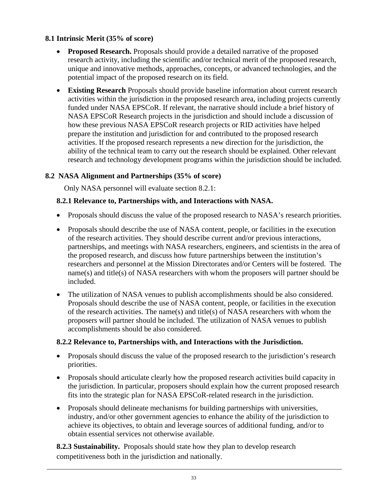## <span id="page-32-0"></span>**8.1 Intrinsic Merit (35% of score)**

- **Proposed Research.** Proposals should provide a detailed narrative of the proposed research activity, including the scientific and/or technical merit of the proposed research, unique and innovative methods, approaches, concepts, or advanced technologies, and the potential impact of the proposed research on its field.
- **Existing Research** Proposals should provide baseline information about current research activities within the jurisdiction in the proposed research area, including projects currently funded under NASA EPSCoR. If relevant, the narrative should include a brief history of NASA EPSCoR Research projects in the jurisdiction and should include a discussion of how these previous NASA EPSCoR research projects or RID activities have helped prepare the institution and jurisdiction for and contributed to the proposed research activities. If the proposed research represents a new direction for the jurisdiction, the ability of the technical team to carry out the research should be explained. Other relevant research and technology development programs within the jurisdiction should be included.

#### <span id="page-32-1"></span>**8.2 NASA Alignment and Partnerships (35% of score)**

Only NASA personnel will evaluate section 8.2.1:

#### **8.2.1 Relevance to, Partnerships with, and Interactions with NASA.**

- Proposals should discuss the value of the proposed research to NASA's research priorities.
- Proposals should describe the use of NASA content, people, or facilities in the execution of the research activities. They should describe current and/or previous interactions, partnerships, and meetings with NASA researchers, engineers, and scientists in the area of the proposed research, and discuss how future partnerships between the institution's researchers and personnel at the Mission Directorates and/or Centers will be fostered. The name(s) and title(s) of NASA researchers with whom the proposers will partner should be included.
- The utilization of NASA venues to publish accomplishments should be also considered. Proposals should describe the use of NASA content, people, or facilities in the execution of the research activities. The name(s) and title(s) of NASA researchers with whom the proposers will partner should be included. The utilization of NASA venues to publish accomplishments should be also considered.

#### **8.2.2 Relevance to, Partnerships with, and Interactions with the Jurisdiction.**

- Proposals should discuss the value of the proposed research to the jurisdiction's research priorities.
- Proposals should articulate clearly how the proposed research activities build capacity in the jurisdiction. In particular, proposers should explain how the current proposed research fits into the strategic plan for NASA EPSCoR-related research in the jurisdiction.
- Proposals should delineate mechanisms for building partnerships with universities, industry, and/or other government agencies to enhance the ability of the jurisdiction to achieve its objectives, to obtain and leverage sources of additional funding, and/or to obtain essential services not otherwise available.

**8.2.3 Sustainability.** Proposals should state how they plan to develop research competitiveness both in the jurisdiction and nationally.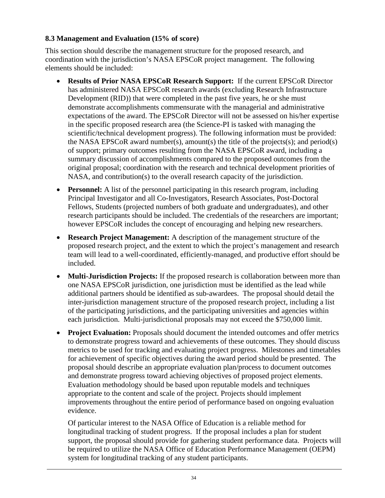#### <span id="page-33-0"></span>**8.3 Management and Evaluation (15% of score)**

This section should describe the management structure for the proposed research, and coordination with the jurisdiction's NASA EPSCoR project management. The following elements should be included:

- **Results of Prior NASA EPSCoR Research Support:** If the current EPSCoR Director has administered NASA EPSCoR research awards (excluding Research Infrastructure Development (RID)) that were completed in the past five years, he or she must demonstrate accomplishments commensurate with the managerial and administrative expectations of the award. The EPSCoR Director will not be assessed on his/her expertise in the specific proposed research area (the Science-PI is tasked with managing the scientific/technical development progress). The following information must be provided: the NASA EPSCoR award number(s), amount(s) the title of the projects(s); and period(s) of support; primary outcomes resulting from the NASA EPSCoR award, including a summary discussion of accomplishments compared to the proposed outcomes from the original proposal; coordination with the research and technical development priorities of NASA, and contribution(s) to the overall research capacity of the jurisdiction.
- **Personnel:** A list of the personnel participating in this research program, including Principal Investigator and all Co-Investigators, Research Associates, Post-Doctoral Fellows, Students (projected numbers of both graduate and undergraduates), and other research participants should be included. The credentials of the researchers are important; however EPSCoR includes the concept of encouraging and helping new researchers.
- **Research Project Management:** A description of the management structure of the proposed research project, and the extent to which the project's management and research team will lead to a well-coordinated, efficiently-managed, and productive effort should be included.
- **Multi-Jurisdiction Projects:** If the proposed research is collaboration between more than one NASA EPSCoR jurisdiction, one jurisdiction must be identified as the lead while additional partners should be identified as sub-awardees. The proposal should detail the inter-jurisdiction management structure of the proposed research project, including a list of the participating jurisdictions, and the participating universities and agencies within each jurisdiction. Multi-jurisdictional proposals may not exceed the \$750,000 limit.
- **Project Evaluation:** Proposals should document the intended outcomes and offer metrics to demonstrate progress toward and achievements of these outcomes. They should discuss metrics to be used for tracking and evaluating project progress. Milestones and timetables for achievement of specific objectives during the award period should be presented. The proposal should describe an appropriate evaluation plan/process to document outcomes and demonstrate progress toward achieving objectives of proposed project elements. Evaluation methodology should be based upon reputable models and techniques appropriate to the content and scale of the project. Projects should implement improvements throughout the entire period of performance based on ongoing evaluation evidence.

Of particular interest to the NASA Office of Education is a reliable method for longitudinal tracking of student progress. If the proposal includes a plan for student support, the proposal should provide for gathering student performance data. Projects will be required to utilize the NASA Office of Education Performance Management (OEPM) system for longitudinal tracking of any student participants.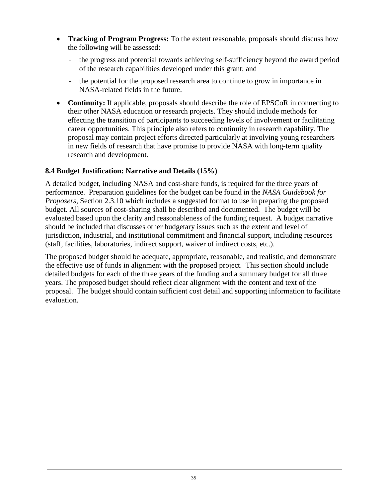- **Tracking of Program Progress:** To the extent reasonable, proposals should discuss how the following will be assessed:
	- the progress and potential towards achieving self-sufficiency beyond the award period of the research capabilities developed under this grant; and
	- the potential for the proposed research area to continue to grow in importance in NASA-related fields in the future.
- **Continuity:** If applicable, proposals should describe the role of EPSCoR in connecting to their other NASA education or research projects. They should include methods for effecting the transition of participants to succeeding levels of involvement or facilitating career opportunities. This principle also refers to continuity in research capability. The proposal may contain project efforts directed particularly at involving young researchers in new fields of research that have promise to provide NASA with long-term quality research and development.

#### <span id="page-34-0"></span>**8.4 Budget Justification: Narrative and Details (15%)**

A detailed budget, including NASA and cost-share funds, is required for the three years of performance. Preparation guidelines for the budget can be found in the *NASA Guidebook for Proposers*, Section 2.3.10 which includes a suggested format to use in preparing the proposed budget. All sources of cost-sharing shall be described and documented. The budget will be evaluated based upon the clarity and reasonableness of the funding request. A budget narrative should be included that discusses other budgetary issues such as the extent and level of jurisdiction, industrial, and institutional commitment and financial support, including resources (staff, facilities, laboratories, indirect support, waiver of indirect costs, etc.).

The proposed budget should be adequate, appropriate, reasonable, and realistic, and demonstrate the effective use of funds in alignment with the proposed project. This section should include detailed budgets for each of the three years of the funding and a summary budget for all three years. The proposed budget should reflect clear alignment with the content and text of the proposal. The budget should contain sufficient cost detail and supporting information to facilitate evaluation.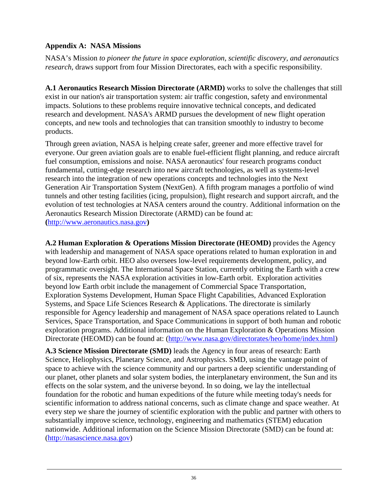### <span id="page-35-0"></span>**Appendix A: NASA Missions**

NASA's Mission *to pioneer the future in space exploration, scientific discovery, and aeronautics research,* draws support from four Mission Directorates, each with a specific responsibility.

**A.1 Aeronautics Research Mission Directorate (ARMD)** works to solve the challenges that still exist in our nation's air transportation system: air traffic congestion, safety and environmental impacts. Solutions to these problems require innovative technical concepts, and dedicated research and development. NASA's ARMD pursues the development of new flight operation concepts, and new tools and technologies that can transition smoothly to industry to become products.

Through green aviation, NASA is helping create safer, greener and more effective travel for everyone. Our green aviation goals are to enable fuel-efficient flight planning, and reduce aircraft fuel consumption, emissions and noise. NASA aeronautics' four research programs conduct fundamental, cutting-edge research into new aircraft technologies, as well as systems-level research into the integration of new operations concepts and technologies into the Next Generation Air Transportation System (NextGen). A fifth program manages a portfolio of wind tunnels and other testing facilities (icing, propulsion), flight research and support aircraft, and the evolution of test technologies at NASA centers around the country. Additional information on the Aeronautics Research Mission Directorate (ARMD) can be found at: **(**[http://www.aeronautics.nasa.gov](http://www.aeronautics.nasa.gov/)**)**

**A.2 Human Exploration & Operations Mission Directorate (HEOMD)** provides the Agency with leadership and management of NASA space operations related to human exploration in and beyond low-Earth orbit. HEO also oversees low-level requirements development, policy, and programmatic oversight. The International Space Station, currently orbiting the Earth with a crew of six, represents the NASA exploration activities in low-Earth orbit. Exploration activities beyond low Earth orbit include the management of Commercial Space Transportation, Exploration Systems Development, Human Space Flight Capabilities, Advanced Exploration Systems, and Space Life Sciences Research & Applications. The directorate is similarly responsible for Agency leadership and management of NASA space operations related to Launch Services, Space Transportation, and Space Communications in support of both human and robotic exploration programs. Additional information on the Human Exploration & Operations Mission Directorate (HEOMD) can be found at: [\(http://www.nasa.gov/directorates/heo/home/index.html\)](http://www.nasa.gov/directorates/heo/home/index.html)

**A.3 Science Mission Directorate (SMD)** leads the Agency in four areas of research: Earth Science, Heliophysics, Planetary Science, and Astrophysics. SMD, using the vantage point of space to achieve with the science community and our partners a deep scientific understanding of our planet, other planets and solar system bodies, the interplanetary environment, the Sun and its effects on the solar system, and the universe beyond. In so doing, we lay the intellectual foundation for the robotic and human expeditions of the future while meeting today's needs for scientific information to address national concerns, such as climate change and space weather. At every step we share the journey of scientific exploration with the public and partner with others to substantially improve science, technology, engineering and mathematics (STEM) education nationwide. Additional information on the Science Mission Directorate (SMD) can be found at: [\(http://nasascience.nasa.gov\)](http://nasascience.nasa.gov/)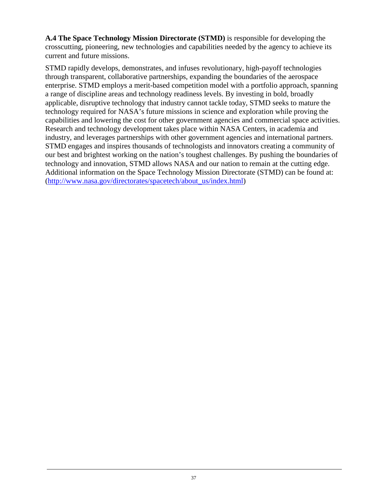**A.4 The Space Technology Mission Directorate (STMD)** is responsible for developing the crosscutting, pioneering, new technologies and capabilities needed by the agency to achieve its current and future missions.

STMD rapidly develops, demonstrates, and infuses revolutionary, high-payoff technologies through transparent, collaborative partnerships, expanding the boundaries of the aerospace enterprise. STMD employs a merit-based competition model with a portfolio approach, spanning a range of discipline areas and technology readiness levels. By investing in bold, broadly applicable, disruptive technology that industry cannot tackle today, STMD seeks to mature the technology required for NASA's future missions in science and exploration while proving the capabilities and lowering the cost for other government agencies and commercial space activities. Research and technology development takes place within NASA Centers, in academia and industry, and leverages partnerships with other government agencies and international partners. STMD engages and inspires thousands of technologists and innovators creating a community of our best and brightest working on the nation's toughest challenges. By pushing the boundaries of technology and innovation, STMD allows NASA and our nation to remain at the cutting edge. Additional information on the Space Technology Mission Directorate (STMD) can be found at: [\(http://www.nasa.gov/directorates/spacetech/about\\_us/index.html\)](http://www.nasa.gov/directorates/spacetech/about_us/index.html)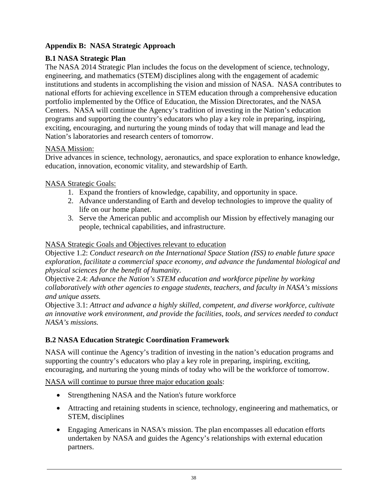## <span id="page-37-0"></span>**Appendix B: NASA Strategic Approach**

## **B.1 NASA Strategic Plan**

The NASA 2014 Strategic Plan includes the focus on the development of science, technology, engineering, and mathematics (STEM) disciplines along with the engagement of academic institutions and students in accomplishing the vision and mission of NASA. NASA contributes to national efforts for achieving excellence in STEM education through a comprehensive education portfolio implemented by the Office of Education, the Mission Directorates, and the NASA Centers. NASA will continue the Agency's tradition of investing in the Nation's education programs and supporting the country's educators who play a key role in preparing, inspiring, exciting, encouraging, and nurturing the young minds of today that will manage and lead the Nation's laboratories and research centers of tomorrow.

## NASA Mission:

Drive advances in science, technology, aeronautics, and space exploration to enhance knowledge, education, innovation, economic vitality, and stewardship of Earth.

## NASA Strategic Goals:

- 1. Expand the frontiers of knowledge, capability, and opportunity in space.
- 2. Advance understanding of Earth and develop technologies to improve the quality of life on our home planet.
- 3. Serve the American public and accomplish our Mission by effectively managing our people, technical capabilities, and infrastructure.

#### NASA Strategic Goals and Objectives relevant to education

Objective 1.2: *Conduct research on the International Space Station (ISS) to enable future space exploration, facilitate a commercial space economy, and advance the fundamental biological and physical sciences for the benefit of humanity*.

Objective 2.4: *Advance the Nation's STEM education and workforce pipeline by working collaboratively with other agencies to engage students, teachers, and faculty in NASA's missions and unique assets.*

Objective 3.1: *Attract and advance a highly skilled, competent, and diverse workforce, cultivate an innovative work environment, and provide the facilities, tools, and services needed to conduct NASA's missions.*

## **B.2 NASA Education Strategic Coordination Framework**

NASA will continue the Agency's tradition of investing in the nation's education programs and supporting the country's educators who play a key role in preparing, inspiring, exciting, encouraging, and nurturing the young minds of today who will be the workforce of tomorrow.

#### NASA will continue to pursue three major education goals:

- Strengthening NASA and the Nation's future workforce
- Attracting and retaining students in science, technology, engineering and mathematics, or STEM, disciplines
- Engaging Americans in NASA's mission. The plan encompasses all education efforts undertaken by NASA and guides the Agency's relationships with external education partners.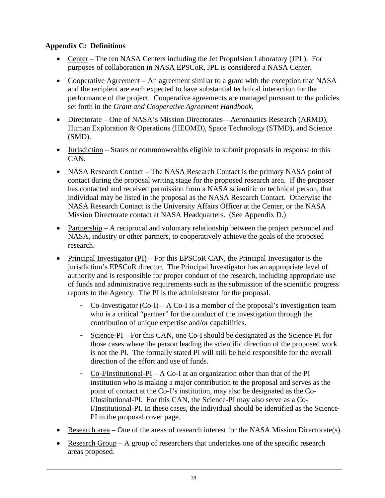## <span id="page-38-0"></span>**Appendix C: Definitions**

- Center The ten NASA Centers including the Jet Propulsion Laboratory (JPL). For purposes of collaboration in NASA EPSCoR, JPL is considered a NASA Center.
- Cooperative Agreement An agreement similar to a grant with the exception that NASA and the recipient are each expected to have substantial technical interaction for the performance of the project. Cooperative agreements are managed pursuant to the policies set forth in the *Grant and Cooperative Agreement Handbook.*
- Directorate One of NASA's Mission Directorates—Aeronautics Research (ARMD), Human Exploration & Operations (HEOMD), Space Technology (STMD), and Science (SMD).
- <u>Jurisdiction</u> States or commonwealths eligible to submit proposals in response to this CAN.
- NASA Research Contact The NASA Research Contact is the primary NASA point of contact during the proposal writing stage for the proposed research area. If the proposer has contacted and received permission from a NASA scientific or technical person, that individual may be listed in the proposal as the NASA Research Contact. Otherwise the NASA Research Contact is the University Affairs Officer at the Center, or the NASA Mission Directorate contact at NASA Headquarters. (See Appendix D.)
- Partnership A reciprocal and voluntary relationship between the project personnel and NASA, industry or other partners, to cooperatively achieve the goals of the proposed research.
- Principal Investigator (PI) For this EPSCoR CAN, the Principal Investigator is the jurisdiction's EPSCoR director. The Principal Investigator has an appropriate level of authority and is responsible for proper conduct of the research, including appropriate use of funds and administrative requirements such as the submission of the scientific progress reports to the Agency. The PI is the administrator for the proposal.
	- Co-Investigator  $(Co-I)$  A Co-I is a member of the proposal's investigation team who is a critical "partner" for the conduct of the investigation through the contribution of unique expertise and/or capabilities.
	- Science-PI For this CAN, one Co-I should be designated as the Science-PI for those cases where the person leading the scientific direction of the proposed work is not the PI. The formally stated PI will still be held responsible for the overall direction of the effort and use of funds.
	- Co-I/Institutional-PI A Co-I at an organization other than that of the PI institution who is making a major contribution to the proposal and serves as the point of contact at the Co-I's institution, may also be designated as the Co-I/Institutional-PI. For this CAN, the Science-PI may also serve as a Co-I/Institutional-PI. In these cases, the individual should be identified as the Science-PI in the proposal cover page.
- Research area One of the areas of research interest for the NASA Mission Directorate(s).
- Research Group A group of researchers that undertakes one of the specific research areas proposed.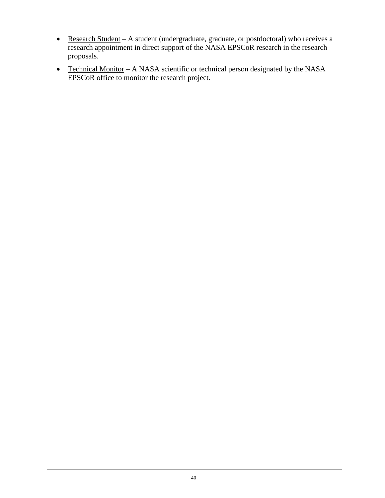- Research Student A student (undergraduate, graduate, or postdoctoral) who receives a research appointment in direct support of the NASA EPSCoR research in the research proposals.
- Technical Monitor A NASA scientific or technical person designated by the NASA EPSCoR office to monitor the research project.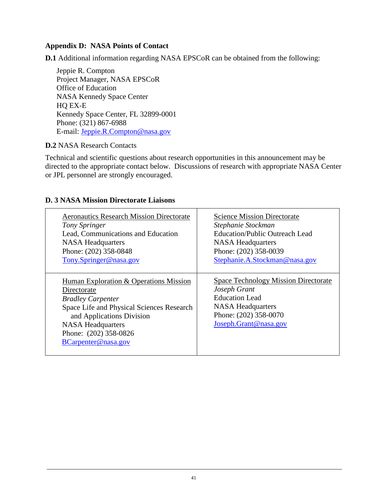#### <span id="page-40-0"></span>**Appendix D: NASA Points of Contact**

**D.1** Additional information regarding NASA EPSCoR can be obtained from the following:

Jeppie R. Compton Project Manager, NASA EPSCoR Office of Education NASA Kennedy Space Center HQ EX-E Kennedy Space Center, FL 32899-0001 Phone: (321) 867-6988 E-mail: Jeppie.R.Compton@nasa.gov

#### **D.2** NASA Research Contacts

Technical and scientific questions about research opportunities in this announcement may be directed to the appropriate contact below. Discussions of research with appropriate NASA Center or JPL personnel are strongly encouraged.

#### Aeronautics Research Mission Directorate *Tony Springer* Lead, Communications and Education NASA Headquarters Phone: (202) 358-0848 [Tony.Springer@nasa.gov](mailto:Tony.Springer@nasa.gov) Science Mission Directorate *Stephanie Stockman* Education/Public Outreach Lead NASA Headquarters Phone: (202) 358-0039 [Stephanie.A.Stockman@nasa.gov](mailto:Stephanie.A.Stockman@nasa.gov) Human Exploration & Operations Mission Directorate *Bradley Carpenter* Space Life and Physical Sciences Research and Applications Division NASA Headquarters Phone: (202) 358-0826 [BCarpenter@nasa.gov](mailto:BCarpenter@nasa.gov) Space Technology Mission Directorate *Joseph Grant* Education Lead NASA Headquarters Phone: (202) 358-0070 [Joseph.Grant@nasa.gov](mailto:Joseph.Grant@nasa.gov)

#### **D. 3 NASA Mission Directorate Liaisons**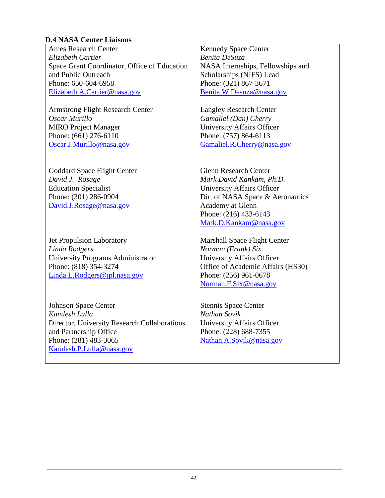## **D.4 NASA Center Liaisons**

| <b>Ames Research Center</b><br>Elizabeth Cartier<br>Space Grant Coordinator, Office of Education<br>and Public Outreach<br>Phone: 650-604-6958<br>Elizabeth.A.Cartier@nasa.gov | <b>Kennedy Space Center</b><br>Benita DeSuza<br>NASA Internships, Fellowships and<br>Scholarships (NIFS) Lead<br>Phone: (321) 867-3671<br>Benita.W.Desuza@nasa.gov                                       |
|--------------------------------------------------------------------------------------------------------------------------------------------------------------------------------|----------------------------------------------------------------------------------------------------------------------------------------------------------------------------------------------------------|
| <b>Armstrong Flight Research Center</b><br>Oscar Murillo<br><b>MIRO</b> Project Manager<br>Phone: (661) 276-6110<br>Oscar.J.Murillo@nasa.gov                                   | <b>Langley Research Center</b><br>Gamaliel (Dan) Cherry<br><b>University Affairs Officer</b><br>Phone: (757) 864-6113<br>Gamaliel.R.Cherry@nasa.gov                                                      |
| <b>Goddard Space Flight Center</b><br>David J. Rosage<br><b>Education Specialist</b><br>Phone: (301) 286-0904<br>David.J.Rosage@nasa.gov                                       | <b>Glenn Research Center</b><br>Mark David Kankam, Ph.D.<br><b>University Affairs Officer</b><br>Dir. of NASA Space & Aeronautics<br>Academy at Glenn<br>Phone: (216) 433-6143<br>Mark.D.Kankam@nasa.gov |
| Jet Propulsion Laboratory<br>Linda Rodgers<br>University Programs Administrator<br>Phone: (818) 354-3274<br>Linda.L.Rodgers@jpl.nasa.gov                                       | <b>Marshall Space Flight Center</b><br>Norman (Frank) Six<br><b>University Affairs Officer</b><br>Office of Academic Affairs (HS30)<br>Phone: (256) 961-0678<br>Norman.F.Six@nasa.gov                    |
| <b>Johnson Space Center</b><br>Kamlesh Lulla<br>Director, University Research Collaborations<br>and Partnership Office<br>Phone: (281) 483-3065<br>Kamlesh.P.Lulla@nasa.gov    | <b>Stennis Space Center</b><br>Nathan Sovik<br><b>University Affairs Officer</b><br>Phone: (228) 688-7355<br>Nathan.A.Sovik@nasa.gov                                                                     |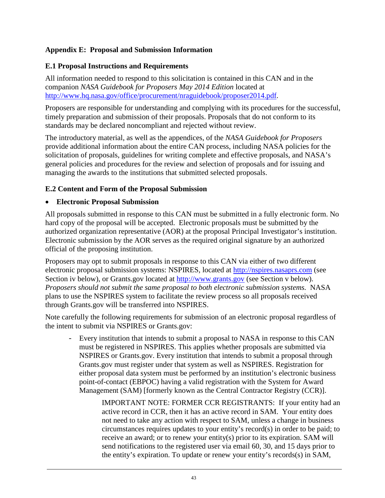### <span id="page-42-0"></span>**Appendix E: Proposal and Submission Information**

#### <span id="page-42-1"></span>**E.1 Proposal Instructions and Requirements**

All information needed to respond to this solicitation is contained in this CAN and in the companion *NASA Guidebook for Proposers May 2014 Edition* located at [http://www.hq.nasa.gov/office/procurement/nraguidebook/proposer2014.pdf.](http://www.hq.nasa.gov/office/procurement/nraguidebook/proposer2014.pdf)

Proposers are responsible for understanding and complying with its procedures for the successful, timely preparation and submission of their proposals. Proposals that do not conform to its standards may be declared noncompliant and rejected without review.

The introductory material, as well as the appendices, of the *NASA Guidebook for Proposers*  provide additional information about the entire CAN process, including NASA policies for the solicitation of proposals, guidelines for writing complete and effective proposals, and NASA's general policies and procedures for the review and selection of proposals and for issuing and managing the awards to the institutions that submitted selected proposals.

#### <span id="page-42-2"></span>**E.2 Content and Form of the Proposal Submission**

#### • **Electronic Proposal Submission**

All proposals submitted in response to this CAN must be submitted in a fully electronic form. No hard copy of the proposal will be accepted. Electronic proposals must be submitted by the authorized organization representative (AOR) at the proposal Principal Investigator's institution. Electronic submission by the AOR serves as the required original signature by an authorized official of the proposing institution.

Proposers may opt to submit proposals in response to this CAN via either of two different electronic proposal submission systems: NSPIRES, located at [http://nspires.nasaprs.com](http://nspires.nasaprs.com/) (see Section iv below), or Grants.gov located at [http://www.grants.gov](http://www.grants.gov/) (see Section v below). *Proposers should not submit the same proposal to both electronic submission systems.* NASA plans to use the NSPIRES system to facilitate the review process so all proposals received through Grants.gov will be transferred into NSPIRES.

Note carefully the following requirements for submission of an electronic proposal regardless of the intent to submit via NSPIRES or Grants.gov:

- Every institution that intends to submit a proposal to NASA in response to this CAN must be registered in NSPIRES. This applies whether proposals are submitted via NSPIRES or Grants.gov. Every institution that intends to submit a proposal through Grants.gov must register under that system as well as NSPIRES. Registration for either proposal data system must be performed by an institution's electronic business point-of-contact (EBPOC) having a valid registration with the System for Award Management (SAM) [formerly known as the Central Contractor Registry (CCR)].

> IMPORTANT NOTE: FORMER CCR REGISTRANTS: If your entity had an active record in CCR, then it has an active record in SAM. Your entity does not need to take any action with respect to SAM, unless a change in business circumstances requires updates to your entity's record(s) in order to be paid; to receive an award; or to renew your entity(s) prior to its expiration. SAM will send notifications to the registered user via email 60, 30, and 15 days prior to the entity's expiration. To update or renew your entity's records(s) in SAM,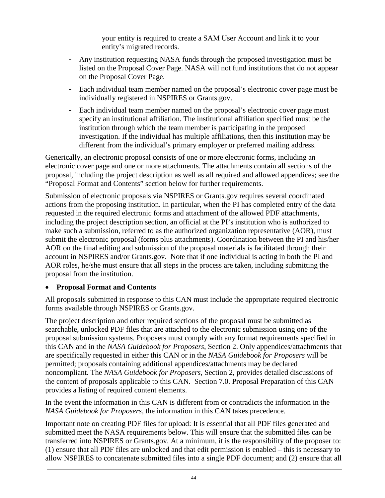your entity is required to create a SAM User Account and link it to your entity's migrated records.

- Any institution requesting NASA funds through the proposed investigation must be listed on the Proposal Cover Page. NASA will not fund institutions that do not appear on the Proposal Cover Page.
- Each individual team member named on the proposal's electronic cover page must be individually registered in NSPIRES or Grants.gov.
- Each individual team member named on the proposal's electronic cover page must specify an institutional affiliation. The institutional affiliation specified must be the institution through which the team member is participating in the proposed investigation. If the individual has multiple affiliations, then this institution may be different from the individual's primary employer or preferred mailing address.

Generically, an electronic proposal consists of one or more electronic forms, including an electronic cover page and one or more attachments. The attachments contain all sections of the proposal, including the project description as well as all required and allowed appendices; see the "Proposal Format and Contents" section below for further requirements.

Submission of electronic proposals via NSPIRES or Grants.gov requires several coordinated actions from the proposing institution. In particular, when the PI has completed entry of the data requested in the required electronic forms and attachment of the allowed PDF attachments, including the project description section, an official at the PI's institution who is authorized to make such a submission, referred to as the authorized organization representative (AOR), must submit the electronic proposal (forms plus attachments). Coordination between the PI and his/her AOR on the final editing and submission of the proposal materials is facilitated through their account in NSPIRES and/or Grants.gov. Note that if one individual is acting in both the PI and AOR roles, he/she must ensure that all steps in the process are taken, including submitting the proposal from the institution.

## • **Proposal Format and Contents**

All proposals submitted in response to this CAN must include the appropriate required electronic forms available through NSPIRES or Grants.gov.

The project description and other required sections of the proposal must be submitted as searchable, unlocked PDF files that are attached to the electronic submission using one of the proposal submission systems. Proposers must comply with any format requirements specified in this CAN and in the *NASA Guidebook for Proposers*, Section 2. Only appendices/attachments that are specifically requested in either this CAN or in the *NASA Guidebook for Proposers* will be permitted; proposals containing additional appendices/attachments may be declared noncompliant. The *NASA Guidebook for Proposers*, Section 2, provides detailed discussions of the content of proposals applicable to this CAN. Section 7.0. Proposal Preparation of this CAN provides a listing of required content elements.

In the event the information in this CAN is different from or contradicts the information in the *NASA Guidebook for Proposers*, the information in this CAN takes precedence.

Important note on creating PDF files for upload: It is essential that all PDF files generated and submitted meet the NASA requirements below. This will ensure that the submitted files can be transferred into NSPIRES or Grants.gov. At a minimum, it is the responsibility of the proposer to: (1) ensure that all PDF files are unlocked and that edit permission is enabled – this is necessary to allow NSPIRES to concatenate submitted files into a single PDF document; and (2) ensure that all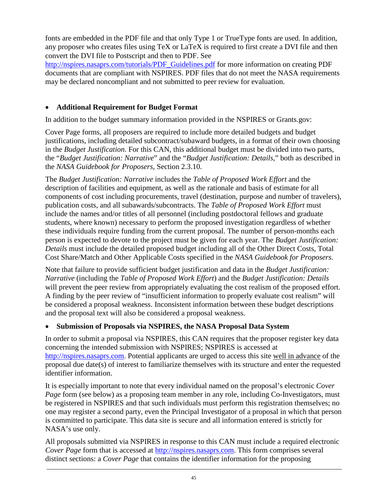fonts are embedded in the PDF file and that only Type 1 or TrueType fonts are used. In addition, any proposer who creates files using TeX or LaTeX is required to first create a DVI file and then convert the DVI file to Postscript and then to PDF. See

[http://nspires.nasaprs.com/tutorials/PDF\\_Guidelines.pdf](http://nspires.nasaprs.com/tutorials/PDF_Guidelines.pdf) for more information on creating PDF documents that are compliant with NSPIRES. PDF files that do not meet the NASA requirements may be declared noncompliant and not submitted to peer review for evaluation.

## • **Additional Requirement for Budget Format**

In addition to the budget summary information provided in the NSPIRES or Grants.gov:

Cover Page forms, all proposers are required to include more detailed budgets and budget justifications, including detailed subcontract/subaward budgets, in a format of their own choosing in the *Budget Justification*. For this CAN, this additional budget must be divided into two parts, the "*Budget Justification: Narrative*" and the "*Budget Justification: Details*," both as described in the *NASA Guidebook for Proposers,* Section 2.3.10.

The *Budget Justification: Narrative* includes the *Table of Proposed Work Effort* and the description of facilities and equipment, as well as the rationale and basis of estimate for all components of cost including procurements, travel (destination, purpose and number of travelers), publication costs, and all subawards/subcontracts. The *Table of Proposed Work Effort* must include the names and/or titles of all personnel (including postdoctoral fellows and graduate students, where known) necessary to perform the proposed investigation regardless of whether these individuals require funding from the current proposal. The number of person-months each person is expected to devote to the project must be given for each year. The *Budget Justification: Details* must include the detailed proposed budget including all of the Other Direct Costs, Total Cost Share/Match and Other Applicable Costs specified in the *NASA Guidebook for Proposers*.

Note that failure to provide sufficient budget justification and data in the *Budget Justification: Narrative* (including the *Table of Proposed Work Effort*) and the *Budget Justification: Details* will prevent the peer review from appropriately evaluating the cost realism of the proposed effort. A finding by the peer review of "insufficient information to properly evaluate cost realism" will be considered a proposal weakness. Inconsistent information between these budget descriptions and the proposal text will also be considered a proposal weakness.

## • **Submission of Proposals via NSPIRES, the NASA Proposal Data System**

In order to submit a proposal via NSPIRES, this CAN requires that the proposer register key data concerning the intended submission with NSPIRES; NSPIRES is accessed at [http://nspires.nasaprs.com.](http://nspires.nasaprs.com/) Potential applicants are urged to access this site well in advance of the proposal due date(s) of interest to familiarize themselves with its structure and enter the requested identifier information.

It is especially important to note that every individual named on the proposal's electronic *Cover Page* form (see below) as a proposing team member in any role, including Co-Investigators, must be registered in NSPIRES and that such individuals must perform this registration themselves; no one may register a second party, even the Principal Investigator of a proposal in which that person is committed to participate. This data site is secure and all information entered is strictly for NASA's use only.

All proposals submitted via NSPIRES in response to this CAN must include a required electronic *Cover Page* form that is accessed at [http://nspires.nasaprs.com.](http://nspires.nasaprs.com/) This form comprises several distinct sections: a *Cover Page* that contains the identifier information for the proposing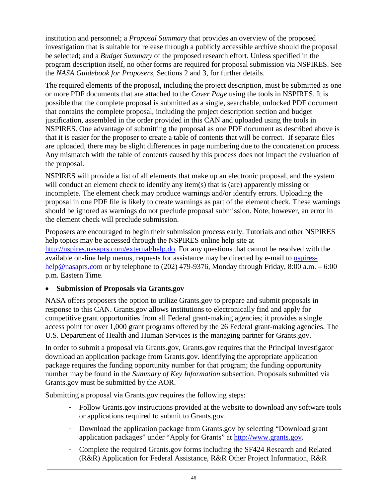institution and personnel; a *Proposal Summary* that provides an overview of the proposed investigation that is suitable for release through a publicly accessible archive should the proposal be selected; and a *Budget Summary* of the proposed research effort. Unless specified in the program description itself, no other forms are required for proposal submission via NSPIRES. See the *NASA Guidebook for Proposers*, Sections 2 and 3, for further details.

The required elements of the proposal, including the project description, must be submitted as one or more PDF documents that are attached to the *Cover Page* using the tools in NSPIRES. It is possible that the complete proposal is submitted as a single, searchable, unlocked PDF document that contains the complete proposal, including the project description section and budget justification, assembled in the order provided in this CAN and uploaded using the tools in NSPIRES. One advantage of submitting the proposal as one PDF document as described above is that it is easier for the proposer to create a table of contents that will be correct. If separate files are uploaded, there may be slight differences in page numbering due to the concatenation process. Any mismatch with the table of contents caused by this process does not impact the evaluation of the proposal.

NSPIRES will provide a list of all elements that make up an electronic proposal, and the system will conduct an element check to identify any item(s) that is (are) apparently missing or incomplete. The element check may produce warnings and/or identify errors. Uploading the proposal in one PDF file is likely to create warnings as part of the element check. These warnings should be ignored as warnings do not preclude proposal submission. Note, however, an error in the element check will preclude submission.

Proposers are encouraged to begin their submission process early. Tutorials and other NSPIRES help topics may be accessed through the NSPIRES online help site at [http://nspires.nasaprs.com/external/help.do.](http://nspires.nasaprs.com/external/help.do) For any questions that cannot be resolved with the available on-line help menus, requests for assistance may be directed by e-mail to [nspires](mailto:nspires-help@nasaprs.com)[help@nasaprs.com](mailto:nspires-help@nasaprs.com) or by telephone to (202) 479-9376, Monday through Friday, 8:00 a.m. – 6:00 p.m. Eastern Time.

## • **Submission of Proposals via Grants.gov**

NASA offers proposers the option to utilize Grants.gov to prepare and submit proposals in response to this CAN. Grants.gov allows institutions to electronically find and apply for competitive grant opportunities from all Federal grant-making agencies; it provides a single access point for over 1,000 grant programs offered by the 26 Federal grant-making agencies. The U.S. Department of Health and Human Services is the managing partner for Grants.gov.

In order to submit a proposal via Grants.gov, Grants.gov requires that the Principal Investigator download an application package from Grants.gov. Identifying the appropriate application package requires the funding opportunity number for that program; the funding opportunity number may be found in the *Summary of Key Information* subsection. Proposals submitted via Grants.gov must be submitted by the AOR.

Submitting a proposal via Grants.gov requires the following steps:

- Follow Grants.gov instructions provided at the website to download any software tools or applications required to submit to Grants.gov.
- Download the application package from Grants.gov by selecting "Download grant application packages" under "Apply for Grants" at [http://www.grants.gov.](http://www.grants.gov/)
- Complete the required Grants.gov forms including the SF424 Research and Related (R&R) Application for Federal Assistance, R&R Other Project Information, R&R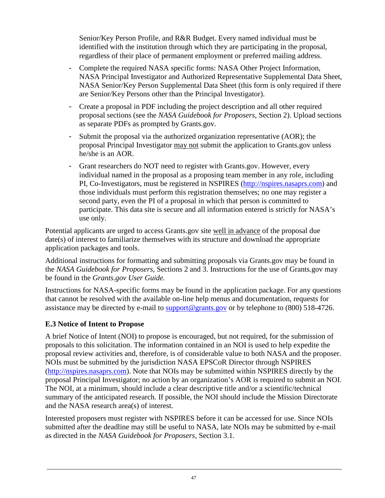Senior/Key Person Profile, and R&R Budget. Every named individual must be identified with the institution through which they are participating in the proposal, regardless of their place of permanent employment or preferred mailing address.

- Complete the required NASA specific forms: NASA Other Project Information, NASA Principal Investigator and Authorized Representative Supplemental Data Sheet, NASA Senior/Key Person Supplemental Data Sheet (this form is only required if there are Senior/Key Persons other than the Principal Investigator).
- Create a proposal in PDF including the project description and all other required proposal sections (see the *NASA Guidebook for Proposers*, Section 2). Upload sections as separate PDFs as prompted by Grants.gov.
- Submit the proposal via the authorized organization representative (AOR); the proposal Principal Investigator may not submit the application to Grants.gov unless he/she is an AOR.
- Grant researchers do NOT need to register with Grants.gov. However, every individual named in the proposal as a proposing team member in any role, including PI, Co-Investigators, must be registered in NSPIRES [\(http://nspires.nasaprs.com\)](http://nspires.nasaprs.com/) and those individuals must perform this registration themselves; no one may register a second party, even the PI of a proposal in which that person is committed to participate. This data site is secure and all information entered is strictly for NASA's use only.

Potential applicants are urged to access Grants.gov site well in advance of the proposal due date(s) of interest to familiarize themselves with its structure and download the appropriate application packages and tools.

Additional instructions for formatting and submitting proposals via Grants.gov may be found in the *NASA Guidebook for Proposers,* Sections 2 and 3. Instructions for the use of Grants.gov may be found in the *Grants.gov User Guide.*

Instructions for NASA-specific forms may be found in the application package. For any questions that cannot be resolved with the available on-line help menus and documentation, requests for assistance may be directed by e-mail to [support@grants.gov](mailto:support@grants.gov) or by telephone to (800) 518-4726.

## <span id="page-46-0"></span>**E.3 Notice of Intent to Propose**

A brief Notice of Intent (NOI) to propose is encouraged, but not required, for the submission of proposals to this solicitation. The information contained in an NOI is used to help expedite the proposal review activities and, therefore, is of considerable value to both NASA and the proposer. NOIs must be submitted by the jurisdiction NASA EPSCoR Director through NSPIRES [\(http://nspires.nasaprs.com\)](http://nspires.nasaprs.com/). Note that NOIs may be submitted within NSPIRES directly by the proposal Principal Investigator; no action by an organization's AOR is required to submit an NOI. The NOI, at a minimum, should include a clear descriptive title and/or a scientific/technical summary of the anticipated research. If possible, the NOI should include the Mission Directorate and the NASA research area(s) of interest.

Interested proposers must register with NSPIRES before it can be accessed for use. Since NOIs submitted after the deadline may still be useful to NASA, late NOIs may be submitted by e-mail as directed in the *NASA Guidebook for Proposers*, Section 3.1*.*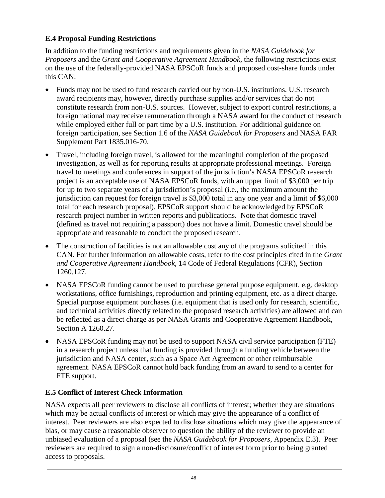## <span id="page-47-0"></span>**E.4 Proposal Funding Restrictions**

In addition to the funding restrictions and requirements given in the *NASA Guidebook for Proposers* and the *Grant and Cooperative Agreement Handbook*, the following restrictions exist on the use of the federally-provided NASA EPSCoR funds and proposed cost-share funds under this CAN:

- Funds may not be used to fund research carried out by non-U.S. institutions. U.S. research award recipients may, however, directly purchase supplies and/or services that do not constitute research from non-U.S. sources. However, subject to export control restrictions, a foreign national may receive remuneration through a NASA award for the conduct of research while employed either full or part time by a U.S. institution. For additional guidance on foreign participation, see Section 1.6 of the *NASA Guidebook for Proposers* and NASA FAR Supplement Part 1835.016-70.
- Travel, including foreign travel, is allowed for the meaningful completion of the proposed investigation, as well as for reporting results at appropriate professional meetings. Foreign travel to meetings and conferences in support of the jurisdiction's NASA EPSCoR research project is an acceptable use of NASA EPSCoR funds, with an upper limit of \$3,000 per trip for up to two separate years of a jurisdiction's proposal (i.e., the maximum amount the jurisdiction can request for foreign travel is \$3,000 total in any one year and a limit of \$6,000 total for each research proposal). EPSCoR support should be acknowledged by EPSCoR research project number in written reports and publications. Note that domestic travel (defined as travel not requiring a passport) does not have a limit. Domestic travel should be appropriate and reasonable to conduct the proposed research.
- The construction of facilities is not an allowable cost any of the programs solicited in this CAN. For further information on allowable costs, refer to the cost principles cited in the *Grant and Cooperative Agreement Handbook*, 14 Code of Federal Regulations (CFR), Section 1260.127.
- NASA EPSCoR funding cannot be used to purchase general purpose equipment, e.g. desktop workstations, office furnishings, reproduction and printing equipment, etc. as a direct charge. Special purpose equipment purchases (i.e. equipment that is used only for research, scientific, and technical activities directly related to the proposed research activities) are allowed and can be reflected as a direct charge as per NASA Grants and Cooperative Agreement Handbook, Section A 1260.27.
- NASA EPSCoR funding may not be used to support NASA civil service participation (FTE) in a research project unless that funding is provided through a funding vehicle between the jurisdiction and NASA center, such as a Space Act Agreement or other reimbursable agreement. NASA EPSCoR cannot hold back funding from an award to send to a center for FTE support.

## <span id="page-47-1"></span>**E.5 Conflict of Interest Check Information**

NASA expects all peer reviewers to disclose all conflicts of interest; whether they are situations which may be actual conflicts of interest or which may give the appearance of a conflict of interest. Peer reviewers are also expected to disclose situations which may give the appearance of bias, or may cause a reasonable observer to question the ability of the reviewer to provide an unbiased evaluation of a proposal (see the *NASA Guidebook for Proposers*, Appendix E.3). Peer reviewers are required to sign a non-disclosure/conflict of interest form prior to being granted access to proposals.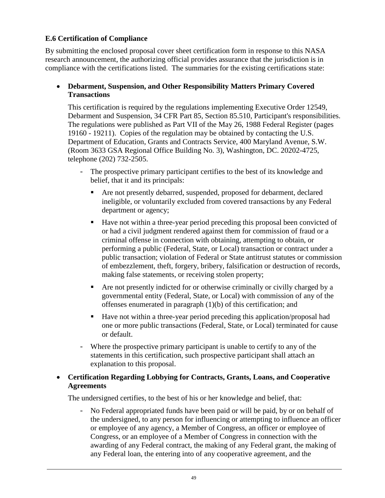### <span id="page-48-0"></span>**E.6 Certification of Compliance**

By submitting the enclosed proposal cover sheet certification form in response to this NASA research announcement, the authorizing official provides assurance that the jurisdiction is in compliance with the certifications listed. The summaries for the existing certifications state:

#### • **Debarment, Suspension, and Other Responsibility Matters Primary Covered Transactions**

This certification is required by the regulations implementing Executive Order 12549, Debarment and Suspension, 34 CFR Part 85, Section 85.510, Participant's responsibilities. The regulations were published as Part VII of the May 26, 1988 Federal Register (pages 19160 - 19211). Copies of the regulation may be obtained by contacting the U.S. Department of Education, Grants and Contracts Service, 400 Maryland Avenue, S.W. (Room 3633 GSA Regional Office Building No. 3), Washington, DC. 20202-4725, telephone (202) 732-2505.

- The prospective primary participant certifies to the best of its knowledge and belief, that it and its principals:
	- Are not presently debarred, suspended, proposed for debarment, declared ineligible, or voluntarily excluded from covered transactions by any Federal department or agency;
	- Have not within a three-year period preceding this proposal been convicted of or had a civil judgment rendered against them for commission of fraud or a criminal offense in connection with obtaining, attempting to obtain, or performing a public (Federal, State, or Local) transaction or contract under a public transaction; violation of Federal or State antitrust statutes or commission of embezzlement, theft, forgery, bribery, falsification or destruction of records, making false statements, or receiving stolen property;
	- Are not presently indicted for or otherwise criminally or civilly charged by a governmental entity (Federal, State, or Local) with commission of any of the offenses enumerated in paragraph (1)(b) of this certification; and
	- Have not within a three-year period preceding this application/proposal had one or more public transactions (Federal, State, or Local) terminated for cause or default.
- Where the prospective primary participant is unable to certify to any of the statements in this certification, such prospective participant shall attach an explanation to this proposal.

#### • **Certification Regarding Lobbying for Contracts, Grants, Loans, and Cooperative Agreements**

The undersigned certifies, to the best of his or her knowledge and belief, that:

- No Federal appropriated funds have been paid or will be paid, by or on behalf of the undersigned, to any person for influencing or attempting to influence an officer or employee of any agency, a Member of Congress, an officer or employee of Congress, or an employee of a Member of Congress in connection with the awarding of any Federal contract, the making of any Federal grant, the making of any Federal loan, the entering into of any cooperative agreement, and the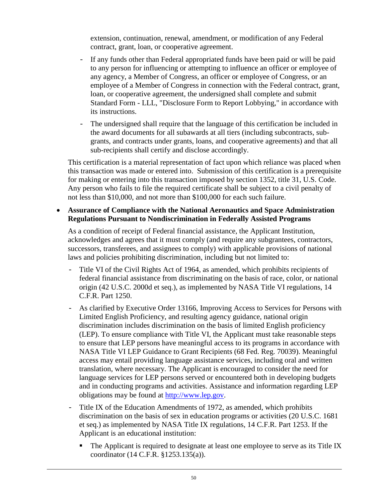extension, continuation, renewal, amendment, or modification of any Federal contract, grant, loan, or cooperative agreement.

- If any funds other than Federal appropriated funds have been paid or will be paid to any person for influencing or attempting to influence an officer or employee of any agency, a Member of Congress, an officer or employee of Congress, or an employee of a Member of Congress in connection with the Federal contract, grant, loan, or cooperative agreement, the undersigned shall complete and submit Standard Form - LLL, "Disclosure Form to Report Lobbying," in accordance with its instructions.
- The undersigned shall require that the language of this certification be included in the award documents for all subawards at all tiers (including subcontracts, subgrants, and contracts under grants, loans, and cooperative agreements) and that all sub-recipients shall certify and disclose accordingly.

This certification is a material representation of fact upon which reliance was placed when this transaction was made or entered into. Submission of this certification is a prerequisite for making or entering into this transaction imposed by section 1352, title 31, U.S. Code. Any person who fails to file the required certificate shall be subject to a civil penalty of not less than \$10,000, and not more than \$100,000 for each such failure.

#### • **Assurance of Compliance with the National Aeronautics and Space Administration Regulations Pursuant to Nondiscrimination in Federally Assisted Programs**

As a condition of receipt of Federal financial assistance, the Applicant Institution, acknowledges and agrees that it must comply (and require any subgrantees, contractors, successors, transferees, and assignees to comply) with applicable provisions of national laws and policies prohibiting discrimination, including but not limited to:

- Title VI of the Civil Rights Act of 1964, as amended, which prohibits recipients of federal financial assistance from discriminating on the basis of race, color, or national origin (42 U.S.C. 2000d et seq.), as implemented by NASA Title VI regulations, 14 C.F.R. Part 1250.
- As clarified by Executive Order 13166, Improving Access to Services for Persons with Limited English Proficiency, and resulting agency guidance, national origin discrimination includes discrimination on the basis of limited English proficiency (LEP). To ensure compliance with Title VI, the Applicant must take reasonable steps to ensure that LEP persons have meaningful access to its programs in accordance with NASA Title VI LEP Guidance to Grant Recipients (68 Fed. Reg. 70039). Meaningful access may entail providing language assistance services, including oral and written translation, where necessary. The Applicant is encouraged to consider the need for language services for LEP persons served or encountered both in developing budgets and in conducting programs and activities. Assistance and information regarding LEP obligations may be found at [http://www.lep.gov.](http://www.lep.gov/)
- Title IX of the Education Amendments of 1972, as amended, which prohibits discrimination on the basis of sex in education programs or activities (20 U.S.C. 1681 et seq.) as implemented by NASA Title IX regulations, 14 C.F.R. Part 1253. If the Applicant is an educational institution:
	- The Applicant is required to designate at least one employee to serve as its Title IX coordinator (14 C.F.R. §1253.135(a)).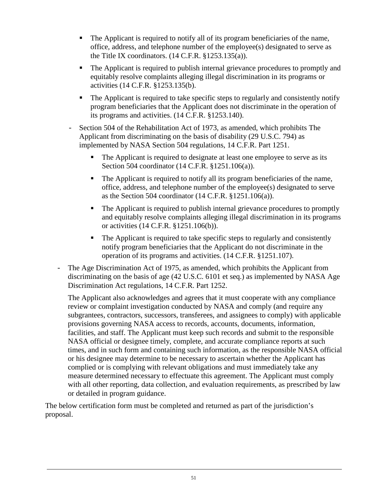- The Applicant is required to notify all of its program beneficiaries of the name, office, address, and telephone number of the employee(s) designated to serve as the Title IX coordinators.  $(14 \text{ C.F.R. } §1253.135(a))$ .
- The Applicant is required to publish internal grievance procedures to promptly and equitably resolve complaints alleging illegal discrimination in its programs or activities (14 C.F.R. §1253.135(b).
- The Applicant is required to take specific steps to regularly and consistently notify program beneficiaries that the Applicant does not discriminate in the operation of its programs and activities. (14 C.F.R. §1253.140).
- Section 504 of the Rehabilitation Act of 1973, as amended, which prohibits The Applicant from discriminating on the basis of disability (29 U.S.C. 794) as implemented by NASA Section 504 regulations, 14 C.F.R. Part 1251.
	- The Applicant is required to designate at least one employee to serve as its Section 504 coordinator (14 C.F.R. §1251.106(a)).
	- The Applicant is required to notify all its program beneficiaries of the name, office, address, and telephone number of the employee(s) designated to serve as the Section 504 coordinator (14 C.F.R. §1251.106(a)).
	- The Applicant is required to publish internal grievance procedures to promptly and equitably resolve complaints alleging illegal discrimination in its programs or activities (14 C.F.R. §1251.106(b)).
	- The Applicant is required to take specific steps to regularly and consistently notify program beneficiaries that the Applicant do not discriminate in the operation of its programs and activities. (14 C.F.R. §1251.107).
- The Age Discrimination Act of 1975, as amended, which prohibits the Applicant from discriminating on the basis of age (42 U.S.C. 6101 et seq.) as implemented by NASA Age Discrimination Act regulations, 14 C.F.R. Part 1252.

The Applicant also acknowledges and agrees that it must cooperate with any compliance review or complaint investigation conducted by NASA and comply (and require any subgrantees, contractors, successors, transferees, and assignees to comply) with applicable provisions governing NASA access to records, accounts, documents, information, facilities, and staff. The Applicant must keep such records and submit to the responsible NASA official or designee timely, complete, and accurate compliance reports at such times, and in such form and containing such information, as the responsible NASA official or his designee may determine to be necessary to ascertain whether the Applicant has complied or is complying with relevant obligations and must immediately take any measure determined necessary to effectuate this agreement. The Applicant must comply with all other reporting, data collection, and evaluation requirements, as prescribed by law or detailed in program guidance.

The below certification form must be completed and returned as part of the jurisdiction's proposal.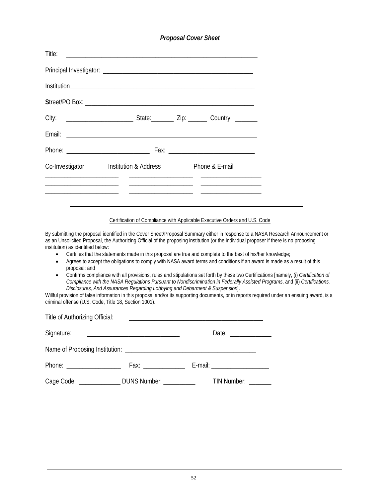#### *Proposal Cover Sheet*

| Co-Investigator Institution & Address | Phone & E-mail        |
|---------------------------------------|-----------------------|
|                                       | _____________________ |
|                                       |                       |

Certification of Compliance with Applicable Executive Orders and U.S. Code

By submitting the proposal identified in the Cover Sheet/Proposal Summary either in response to a NASA Research Announcement or as an Unsolicited Proposal, the Authorizing Official of the proposing institution (or the individual proposer if there is no proposing institution) as identified below:

- Certifies that the statements made in this proposal are true and complete to the best of his/her knowledge;
- Agrees to accept the obligations to comply with NASA award terms and conditions if an award is made as a result of this proposal; and
- Confirms compliance with all provisions, rules and stipulations set forth by these two Certifications [namely, (i) *Certification of Compliance with the NASA Regulations Pursuant to Nondiscrimination in Federally Assisted Programs*, and (ii) *Certifications, Disclosures, And Assurances Regarding Lobbying and Debarment & Suspension*].

Willful provision of false information in this proposal and/or its supporting documents, or in reports required under an ensuing award, is a criminal offense (U.S. Code, Title 18, Section 1001).

| Title of Authorizing Official: |                                                   |                                                                                                                                                                                                                                                                                                                                                                                                                          |
|--------------------------------|---------------------------------------------------|--------------------------------------------------------------------------------------------------------------------------------------------------------------------------------------------------------------------------------------------------------------------------------------------------------------------------------------------------------------------------------------------------------------------------|
| Signature:                     |                                                   | Date: $\frac{1}{\sqrt{1-\frac{1}{2}}}\frac{1}{\sqrt{1-\frac{1}{2}}}\frac{1}{\sqrt{1-\frac{1}{2}}}\frac{1}{\sqrt{1-\frac{1}{2}}}\frac{1}{\sqrt{1-\frac{1}{2}}}\frac{1}{\sqrt{1-\frac{1}{2}}}\frac{1}{\sqrt{1-\frac{1}{2}}}\frac{1}{\sqrt{1-\frac{1}{2}}}\frac{1}{\sqrt{1-\frac{1}{2}}}\frac{1}{\sqrt{1-\frac{1}{2}}}\frac{1}{\sqrt{1-\frac{1}{2}}}\frac{1}{\sqrt{1-\frac{1}{2}}}\frac{1}{\sqrt{1-\frac{1}{2}}}\frac{1}{\$ |
|                                |                                                   |                                                                                                                                                                                                                                                                                                                                                                                                                          |
| Phone: _____________________   |                                                   | E-mail: ______________________                                                                                                                                                                                                                                                                                                                                                                                           |
|                                | Cage Code: ______________ DUNS Number: __________ | TIN Number: _______                                                                                                                                                                                                                                                                                                                                                                                                      |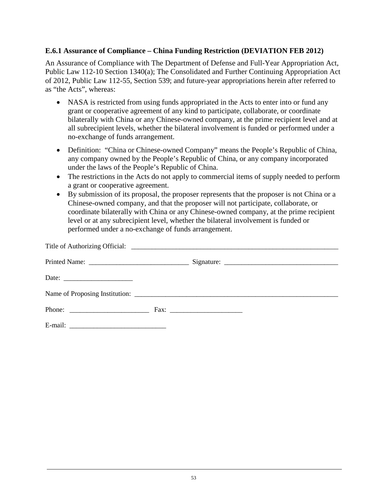#### **E.6.1 Assurance of Compliance – China Funding Restriction (DEVIATION FEB 2012)**

An Assurance of Compliance with The Department of Defense and Full-Year Appropriation Act, Public Law 112-10 Section 1340(a); The Consolidated and Further Continuing Appropriation Act of 2012, Public Law 112-55, Section 539; and future-year appropriations herein after referred to as "the Acts", whereas:

- NASA is restricted from using funds appropriated in the Acts to enter into or fund any grant or cooperative agreement of any kind to participate, collaborate, or coordinate bilaterally with China or any Chinese-owned company, at the prime recipient level and at all subrecipient levels, whether the bilateral involvement is funded or performed under a no-exchange of funds arrangement.
- Definition: "China or Chinese-owned Company" means the People's Republic of China, any company owned by the People's Republic of China, or any company incorporated under the laws of the People's Republic of China.
- The restrictions in the Acts do not apply to commercial items of supply needed to perform a grant or cooperative agreement.
- By submission of its proposal, the proposer represents that the proposer is not China or a Chinese-owned company, and that the proposer will not participate, collaborate, or coordinate bilaterally with China or any Chinese-owned company, at the prime recipient level or at any subrecipient level, whether the bilateral involvement is funded or performed under a no-exchange of funds arrangement.

| Date: $\frac{1}{\sqrt{1-\frac{1}{2}} \cdot \frac{1}{2}}$ |  |  |
|----------------------------------------------------------|--|--|
|                                                          |  |  |
|                                                          |  |  |
|                                                          |  |  |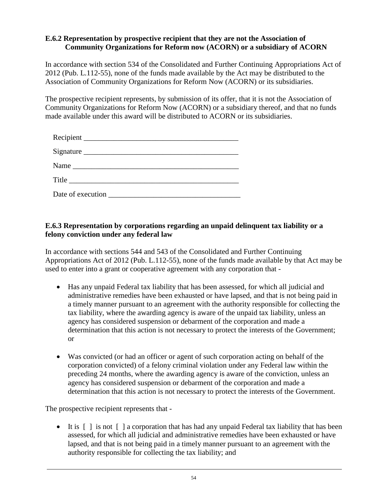#### **E.6.2 Representation by prospective recipient that they are not the Association of Community Organizations for Reform now (ACORN) or a subsidiary of ACORN**

In accordance with section 534 of the Consolidated and Further Continuing Appropriations Act of 2012 (Pub. L.112-55), none of the funds made available by the Act may be distributed to the Association of Community Organizations for Reform Now (ACORN) or its subsidiaries.

The prospective recipient represents, by submission of its offer, that it is not the Association of Community Organizations for Reform Now (ACORN) or a subsidiary thereof, and that no funds made available under this award will be distributed to ACORN or its subsidiaries.

| Signature |  |
|-----------|--|
|           |  |
|           |  |
|           |  |

### **E.6.3 Representation by corporations regarding an unpaid delinquent tax liability or a felony conviction under any federal law**

In accordance with sections 544 and 543 of the Consolidated and Further Continuing Appropriations Act of 2012 (Pub. L.112-55), none of the funds made available by that Act may be used to enter into a grant or cooperative agreement with any corporation that -

- Has any unpaid Federal tax liability that has been assessed, for which all judicial and administrative remedies have been exhausted or have lapsed, and that is not being paid in a timely manner pursuant to an agreement with the authority responsible for collecting the tax liability, where the awarding agency is aware of the unpaid tax liability, unless an agency has considered suspension or debarment of the corporation and made a determination that this action is not necessary to protect the interests of the Government; or
- Was convicted (or had an officer or agent of such corporation acting on behalf of the corporation convicted) of a felony criminal violation under any Federal law within the preceding 24 months, where the awarding agency is aware of the conviction, unless an agency has considered suspension or debarment of the corporation and made a determination that this action is not necessary to protect the interests of the Government.

The prospective recipient represents that -

• It is  $\lceil \cdot \rceil$  is not  $\lceil \cdot \rceil$  a corporation that has had any unpaid Federal tax liability that has been assessed, for which all judicial and administrative remedies have been exhausted or have lapsed, and that is not being paid in a timely manner pursuant to an agreement with the authority responsible for collecting the tax liability; and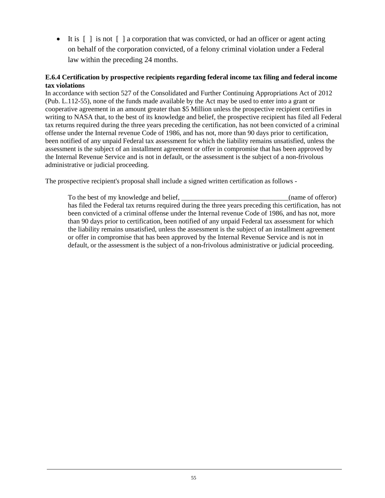• It is  $\lceil \cdot \rceil$  is not  $\lceil \cdot \rceil$  a corporation that was convicted, or had an officer or agent acting on behalf of the corporation convicted, of a felony criminal violation under a Federal law within the preceding 24 months.

#### **E.6.4 Certification by prospective recipients regarding federal income tax filing and federal income tax violations**

In accordance with section 527 of the Consolidated and Further Continuing Appropriations Act of 2012 (Pub. L.112-55), none of the funds made available by the Act may be used to enter into a grant or cooperative agreement in an amount greater than \$5 Million unless the prospective recipient certifies in writing to NASA that, to the best of its knowledge and belief, the prospective recipient has filed all Federal tax returns required during the three years preceding the certification, has not been convicted of a criminal offense under the Internal revenue Code of 1986, and has not, more than 90 days prior to certification, been notified of any unpaid Federal tax assessment for which the liability remains unsatisfied, unless the assessment is the subject of an installment agreement or offer in compromise that has been approved by the Internal Revenue Service and is not in default, or the assessment is the subject of a non-frivolous administrative or judicial proceeding.

The prospective recipient's proposal shall include a signed written certification as follows -

To the best of my knowledge and belief, \_\_\_\_\_\_\_\_\_\_\_\_\_\_\_\_\_\_\_\_\_\_\_\_\_\_\_\_(name of offeror) has filed the Federal tax returns required during the three years preceding this certification, has not been convicted of a criminal offense under the Internal revenue Code of 1986, and has not, more than 90 days prior to certification, been notified of any unpaid Federal tax assessment for which the liability remains unsatisfied, unless the assessment is the subject of an installment agreement or offer in compromise that has been approved by the Internal Revenue Service and is not in default, or the assessment is the subject of a non-frivolous administrative or judicial proceeding.